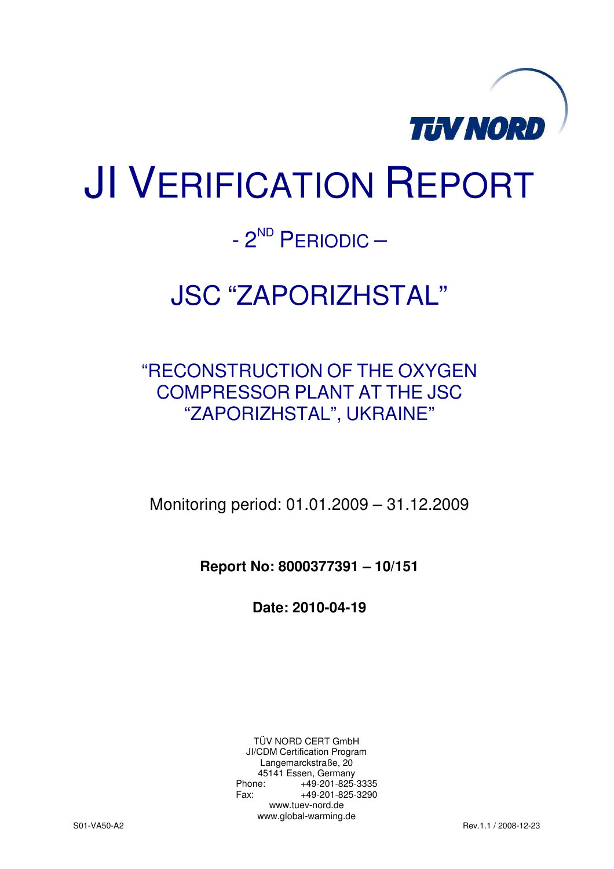

# JI VERIFICATION REPORT

# $- 2<sup>ND</sup>$  PERIODIC –

# JSC "ZAPORIZHSTAL"

# "RECONSTRUCTION OF THE OXYGEN COMPRESSOR PLANT AT THE JSC "ZAPORIZHSTAL", UKRAINE"

Monitoring period: 01.01.2009 – 31.12.2009

**Report No: 8000377391 – 10/151** 

**Date: 2010-04-19** 

TÜV NORD CERT GmbH JI/CDM Certification Program Langemarckstraße, 20 45141 Essen, Germany<br>+49-201-825-49 Phone: +49-201-825-3335<br>Fax: +49-201-825-3290 Fax: +49-201-825-3290 www.tuev-nord.de www.global-warming.de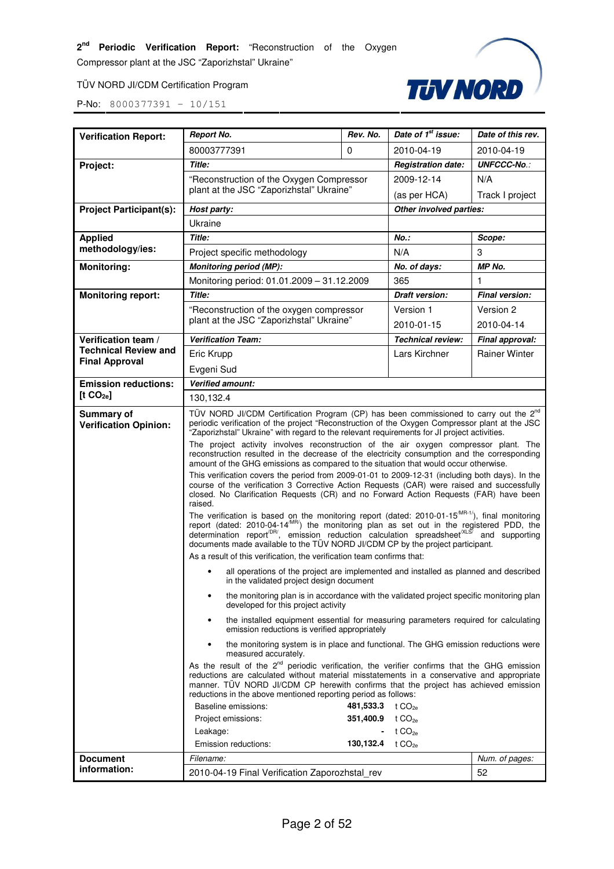#### TÜV NORD JI/CDM Certification Program



| <b>Verification Report:</b>                | <b>Report No.</b>                                                                                                                                                                                                                                                                                                                                                                          | Rev. No.   | Date of 1 <sup>st</sup> issue: | Date of this rev.     |  |
|--------------------------------------------|--------------------------------------------------------------------------------------------------------------------------------------------------------------------------------------------------------------------------------------------------------------------------------------------------------------------------------------------------------------------------------------------|------------|--------------------------------|-----------------------|--|
|                                            | 80003777391                                                                                                                                                                                                                                                                                                                                                                                | 0          | 2010-04-19                     | 2010-04-19            |  |
| Project:                                   | <b>Title:</b>                                                                                                                                                                                                                                                                                                                                                                              |            | <b>Registration date:</b>      | <b>UNFCCC-No.:</b>    |  |
|                                            | "Reconstruction of the Oxygen Compressor                                                                                                                                                                                                                                                                                                                                                   | 2009-12-14 | N/A                            |                       |  |
|                                            | plant at the JSC "Zaporizhstal" Ukraine"                                                                                                                                                                                                                                                                                                                                                   |            | (as per HCA)                   | Track I project       |  |
| <b>Project Participant(s):</b>             | Host party:                                                                                                                                                                                                                                                                                                                                                                                |            | Other involved parties:        |                       |  |
|                                            | Ukraine                                                                                                                                                                                                                                                                                                                                                                                    |            |                                |                       |  |
| <b>Applied</b>                             | <b>Title:</b>                                                                                                                                                                                                                                                                                                                                                                              |            | <b>No.:</b>                    | Scope:                |  |
| methodology/ies:                           | Project specific methodology                                                                                                                                                                                                                                                                                                                                                               |            | N/A                            | 3                     |  |
| <b>Monitoring:</b>                         | <b>Monitoring period (MP):</b>                                                                                                                                                                                                                                                                                                                                                             |            | No. of days:                   | MP No.                |  |
|                                            | Monitoring period: 01.01.2009 - 31.12.2009                                                                                                                                                                                                                                                                                                                                                 |            | 365                            | 1                     |  |
| <b>Monitoring report:</b>                  | Title:                                                                                                                                                                                                                                                                                                                                                                                     |            | <b>Draft version:</b>          | <b>Final version:</b> |  |
|                                            | "Reconstruction of the oxygen compressor                                                                                                                                                                                                                                                                                                                                                   |            | Version 1                      | Version 2             |  |
|                                            | plant at the JSC "Zaporizhstal" Ukraine"                                                                                                                                                                                                                                                                                                                                                   |            | 2010-01-15                     | 2010-04-14            |  |
| Verification team /                        | <b>Verification Team:</b>                                                                                                                                                                                                                                                                                                                                                                  |            | <b>Technical review:</b>       | Final approval:       |  |
| <b>Technical Review and</b>                | Eric Krupp                                                                                                                                                                                                                                                                                                                                                                                 |            | Lars Kirchner                  | <b>Rainer Winter</b>  |  |
| <b>Final Approval</b>                      | Evgeni Sud                                                                                                                                                                                                                                                                                                                                                                                 |            |                                |                       |  |
| <b>Emission reductions:</b>                | <b>Verified amount:</b>                                                                                                                                                                                                                                                                                                                                                                    |            |                                |                       |  |
| [t CO <sub>2e</sub> ]                      | 130,132.4                                                                                                                                                                                                                                                                                                                                                                                  |            |                                |                       |  |
| Summary of<br><b>Verification Opinion:</b> | TÜV NORD JI/CDM Certification Program (CP) has been commissioned to carry out the 2 <sup>nd</sup><br>periodic verification of the project "Reconstruction of the Oxygen Compressor plant at the JSC<br>"Zaporizhstal" Ukraine" with regard to the relevant requirements for JI project activities.<br>The project activity involves reconstruction of the air oxygen compressor plant. The |            |                                |                       |  |
|                                            | reconstruction resulted in the decrease of the electricity consumption and the corresponding<br>amount of the GHG emissions as compared to the situation that would occur otherwise.                                                                                                                                                                                                       |            |                                |                       |  |
|                                            | This verification covers the period from 2009-01-01 to 2009-12-31 (including both days). In the<br>course of the verification 3 Corrective Action Requests (CAR) were raised and successfully<br>closed. No Clarification Requests (CR) and no Forward Action Requests (FAR) have been<br>raised.                                                                                          |            |                                |                       |  |
|                                            | The verification is based on the monitoring report (dated: 2010-01-15 <sup>/MR-1/</sup> ), final monitoring report (dated: 2010-04-14 <sup>/MR/</sup> ) the monitoring plan as set out in the registered PDD, the determination report <sup>DR/</sup> , emissi<br>documents made available to the TÜV NORD JI/CDM CP by the project participant.                                           |            |                                |                       |  |
|                                            | As a result of this verification, the verification team confirms that:                                                                                                                                                                                                                                                                                                                     |            |                                |                       |  |
|                                            | all operations of the project are implemented and installed as planned and described<br>in the validated project design document                                                                                                                                                                                                                                                           |            |                                |                       |  |
|                                            | the monitoring plan is in accordance with the validated project specific monitoring plan<br>$\bullet$<br>developed for this project activity                                                                                                                                                                                                                                               |            |                                |                       |  |
|                                            | the installed equipment essential for measuring parameters required for calculating<br>٠<br>emission reductions is verified appropriately                                                                                                                                                                                                                                                  |            |                                |                       |  |
|                                            | the monitoring system is in place and functional. The GHG emission reductions were<br>$\bullet$<br>measured accurately.                                                                                                                                                                                                                                                                    |            |                                |                       |  |
|                                            | As the result of the $2^{nd}$ periodic verification, the verifier confirms that the GHG emission<br>reductions are calculated without material misstatements in a conservative and appropriate<br>manner. TÜV NORD JI/CDM CP herewith confirms that the project has achieved emission<br>reductions in the above mentioned reporting period as follows:                                    |            |                                |                       |  |
|                                            | Baseline emissions:<br>481,533.3<br>t $CO_{2a}$                                                                                                                                                                                                                                                                                                                                            |            |                                |                       |  |
|                                            | 351,400.9<br>t $CO2e$<br>Project emissions:                                                                                                                                                                                                                                                                                                                                                |            |                                |                       |  |
|                                            | t CO <sub>2e</sub><br>Leakage:<br>130,132.4 $t CO_{2e}$                                                                                                                                                                                                                                                                                                                                    |            |                                |                       |  |
|                                            | Emission reductions:                                                                                                                                                                                                                                                                                                                                                                       |            |                                |                       |  |
| <b>Document</b><br>information:            | Filename:                                                                                                                                                                                                                                                                                                                                                                                  |            |                                | Num. of pages:        |  |
|                                            | 2010-04-19 Final Verification Zaporozhstal_rev<br>52                                                                                                                                                                                                                                                                                                                                       |            |                                |                       |  |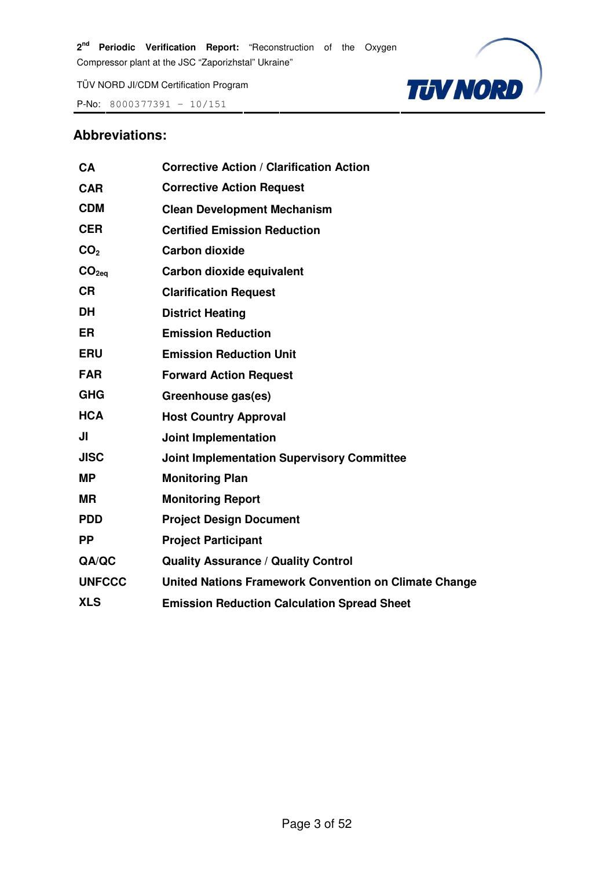P-No: 8000377391 – 10/151



#### **Abbreviations:**

| <b>CA</b>         | <b>Corrective Action / Clarification Action</b>       |
|-------------------|-------------------------------------------------------|
| <b>CAR</b>        | <b>Corrective Action Request</b>                      |
| <b>CDM</b>        | <b>Clean Development Mechanism</b>                    |
| <b>CER</b>        | <b>Certified Emission Reduction</b>                   |
| CO <sub>2</sub>   | <b>Carbon dioxide</b>                                 |
| CO <sub>2eq</sub> | Carbon dioxide equivalent                             |
| <b>CR</b>         | <b>Clarification Request</b>                          |
| <b>DH</b>         | <b>District Heating</b>                               |
| <b>ER</b>         | <b>Emission Reduction</b>                             |
| <b>ERU</b>        | <b>Emission Reduction Unit</b>                        |
| <b>FAR</b>        | <b>Forward Action Request</b>                         |
| <b>GHG</b>        | Greenhouse gas(es)                                    |
| <b>HCA</b>        | <b>Host Country Approval</b>                          |
| JI                | <b>Joint Implementation</b>                           |
| <b>JISC</b>       | <b>Joint Implementation Supervisory Committee</b>     |
| <b>MP</b>         | <b>Monitoring Plan</b>                                |
| <b>MR</b>         | <b>Monitoring Report</b>                              |
| <b>PDD</b>        | <b>Project Design Document</b>                        |
| <b>PP</b>         | <b>Project Participant</b>                            |
| QA/QC             | <b>Quality Assurance / Quality Control</b>            |
| <b>UNFCCC</b>     | United Nations Framework Convention on Climate Change |
| <b>XLS</b>        | <b>Emission Reduction Calculation Spread Sheet</b>    |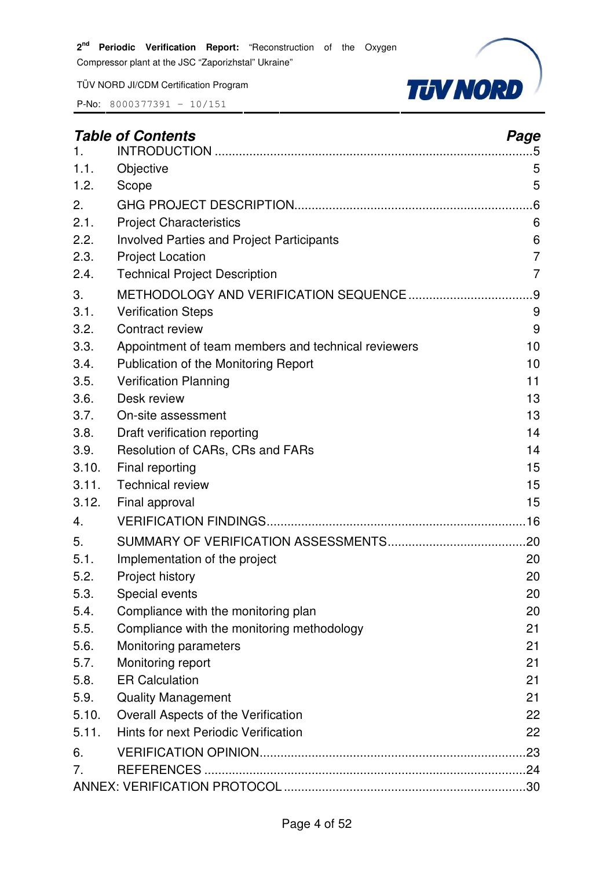TÜV NORD JI/CDM Certification Program



|       | <b>Table of Contents</b>                            | Page           |
|-------|-----------------------------------------------------|----------------|
| 1.    |                                                     | .5             |
| 1.1.  | Objective                                           | 5              |
| 1.2.  | Scope                                               | 5              |
| 2.    |                                                     | .6             |
| 2.1.  | <b>Project Characteristics</b>                      | 6              |
| 2.2.  | <b>Involved Parties and Project Participants</b>    | 6              |
| 2.3.  | <b>Project Location</b>                             | $\overline{7}$ |
| 2.4.  | <b>Technical Project Description</b>                | $\overline{7}$ |
| 3.    |                                                     | .9             |
| 3.1.  | <b>Verification Steps</b>                           | 9              |
| 3.2.  | Contract review                                     | 9              |
| 3.3.  | Appointment of team members and technical reviewers | 10             |
| 3.4.  | Publication of the Monitoring Report                | 10             |
| 3.5.  | <b>Verification Planning</b>                        | 11             |
| 3.6.  | Desk review                                         | 13             |
| 3.7.  | On-site assessment                                  | 13             |
| 3.8.  | Draft verification reporting                        | 14             |
| 3.9.  | Resolution of CARs, CRs and FARs                    | 14             |
| 3.10. | Final reporting                                     | 15             |
| 3.11. | <b>Technical review</b>                             | 15             |
| 3.12. | Final approval                                      | 15             |
| 4.    |                                                     |                |
| 5.    |                                                     | .20            |
| 5.1.  | Implementation of the project                       | 20             |
| 5.2.  | Project history                                     | 20             |
| 5.3.  | Special events                                      | 20             |
| 5.4.  | Compliance with the monitoring plan                 | 20             |
| 5.5.  | Compliance with the monitoring methodology          | 21             |
| 5.6.  | Monitoring parameters                               | 21             |
| 5.7.  | Monitoring report                                   | 21             |
| 5.8.  | <b>ER Calculation</b>                               | 21             |
| 5.9.  | <b>Quality Management</b>                           | 21             |
| 5.10. | Overall Aspects of the Verification                 | 22             |
| 5.11. | Hints for next Periodic Verification                | 22             |
| 6.    |                                                     | .23            |
| 7.    |                                                     |                |
|       |                                                     |                |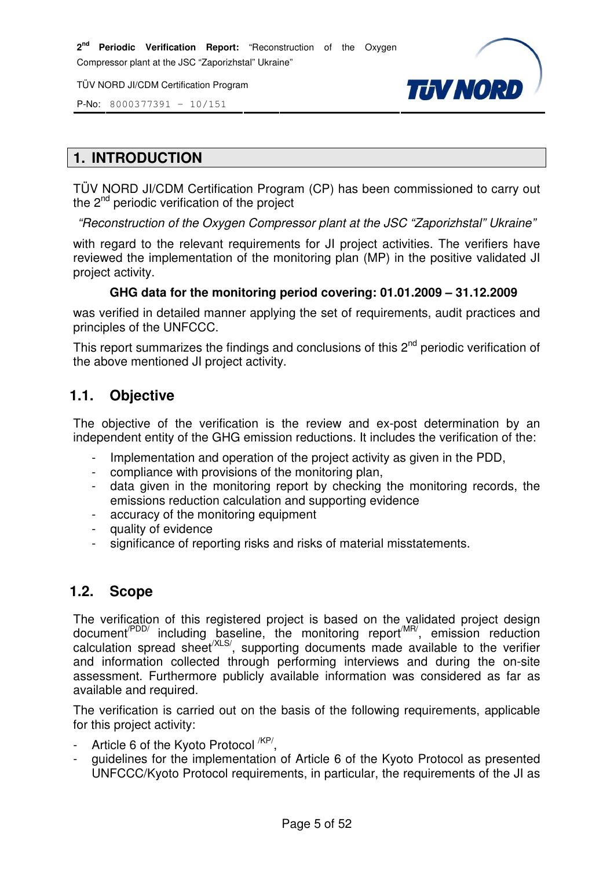P-No: 8000377391 – 10/151



#### **1. INTRODUCTION**

TÜV NORD JI/CDM Certification Program (CP) has been commissioned to carry out the  $2<sup>nd</sup>$  periodic verification of the project

"Reconstruction of the Oxygen Compressor plant at the JSC "Zaporizhstal" Ukraine"

with regard to the relevant requirements for JI project activities. The verifiers have reviewed the implementation of the monitoring plan (MP) in the positive validated JI project activity.

#### **GHG data for the monitoring period covering: 01.01.2009 – 31.12.2009**

was verified in detailed manner applying the set of requirements, audit practices and principles of the UNFCCC.

This report summarizes the findings and conclusions of this  $2<sup>nd</sup>$  periodic verification of the above mentioned JI project activity.

#### **1.1. Objective**

The objective of the verification is the review and ex-post determination by an independent entity of the GHG emission reductions. It includes the verification of the:

- Implementation and operation of the project activity as given in the PDD.
- compliance with provisions of the monitoring plan,
- data given in the monitoring report by checking the monitoring records, the emissions reduction calculation and supporting evidence
- accuracy of the monitoring equipment
- quality of evidence
- significance of reporting risks and risks of material misstatements.

#### **1.2. Scope**

The verification of this registered project is based on the validated project design document<sup>/PDD/</sup> including baseline, the monitoring report<sup>/MR/</sup>, emission reduction calculation spread sheet<sup>/XLS/</sup>, supporting documents made available to the verifier and information collected through performing interviews and during the on-site assessment. Furthermore publicly available information was considered as far as available and required.

The verification is carried out on the basis of the following requirements, applicable for this project activity:

- Article 6 of the Kyoto Protocol <sup>/KP/</sup>,
- quidelines for the implementation of Article 6 of the Kyoto Protocol as presented UNFCCC/Kyoto Protocol requirements, in particular, the requirements of the JI as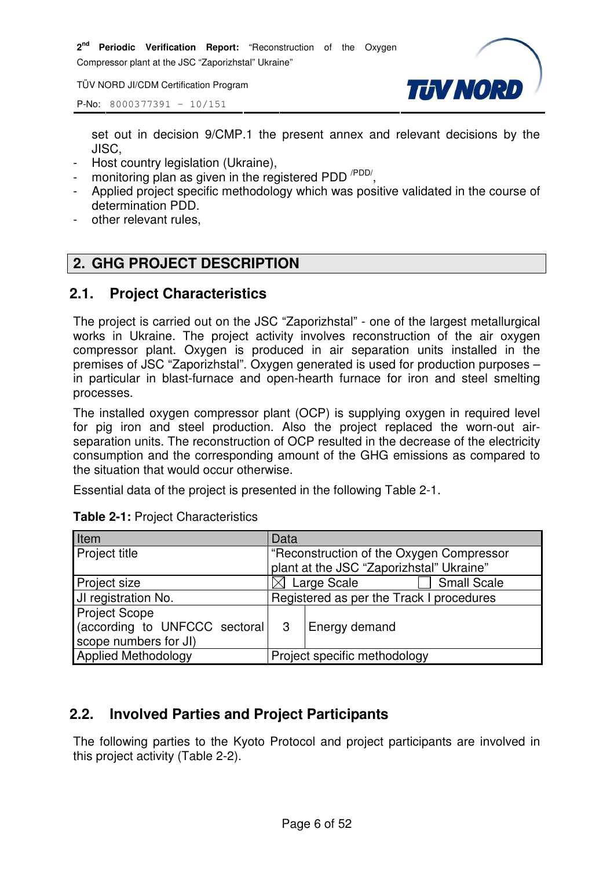**2 nd Periodic Verification Report:** "Reconstruction of the Oxygen

Compressor plant at the JSC "Zaporizhstal" Ukraine"

TÜV NORD JI/CDM Certification Program



P-No: 8000377391 – 10/151

set out in decision 9/CMP.1 the present annex and relevant decisions by the JISC,

- Host country legislation (Ukraine),
- monitoring plan as given in the registered PDD<sup>/PDD/</sup>,
- Applied project specific methodology which was positive validated in the course of determination PDD.
- other relevant rules,

# **2. GHG PROJECT DESCRIPTION**

#### **2.1. Project Characteristics**

The project is carried out on the JSC "Zaporizhstal" - one of the largest metallurgical works in Ukraine. The project activity involves reconstruction of the air oxygen compressor plant. Oxygen is produced in air separation units installed in the premises of JSC "Zaporizhstal". Oxygen generated is used for production purposes – in particular in blast-furnace and open-hearth furnace for iron and steel smelting processes.

The installed oxygen compressor plant (OCP) is supplying oxygen in required level for pig iron and steel production. Also the project replaced the worn-out airseparation units. The reconstruction of OCP resulted in the decrease of the electricity consumption and the corresponding amount of the GHG emissions as compared to the situation that would occur otherwise.

Essential data of the project is presented in the following Table 2-1.

| Item                           | Data         |                                          |  |  |
|--------------------------------|--------------|------------------------------------------|--|--|
| Project title                  |              | "Reconstruction of the Oxygen Compressor |  |  |
|                                |              | plant at the JSC "Zaporizhstal" Ukraine" |  |  |
| Project size                   |              | <b>Small Scale</b><br>Large Scale        |  |  |
| JI registration No.            |              | Registered as per the Track I procedures |  |  |
| <b>Project Scope</b>           |              |                                          |  |  |
| (according to UNFCCC sectoral) | $\mathbf{3}$ | Energy demand                            |  |  |
| scope numbers for JI)          |              |                                          |  |  |
| <b>Applied Methodology</b>     |              | Project specific methodology             |  |  |

| <b>Table 2-1: Project Characteristics</b> |  |
|-------------------------------------------|--|
|-------------------------------------------|--|

# **2.2. Involved Parties and Project Participants**

The following parties to the Kyoto Protocol and project participants are involved in this project activity (Table 2-2).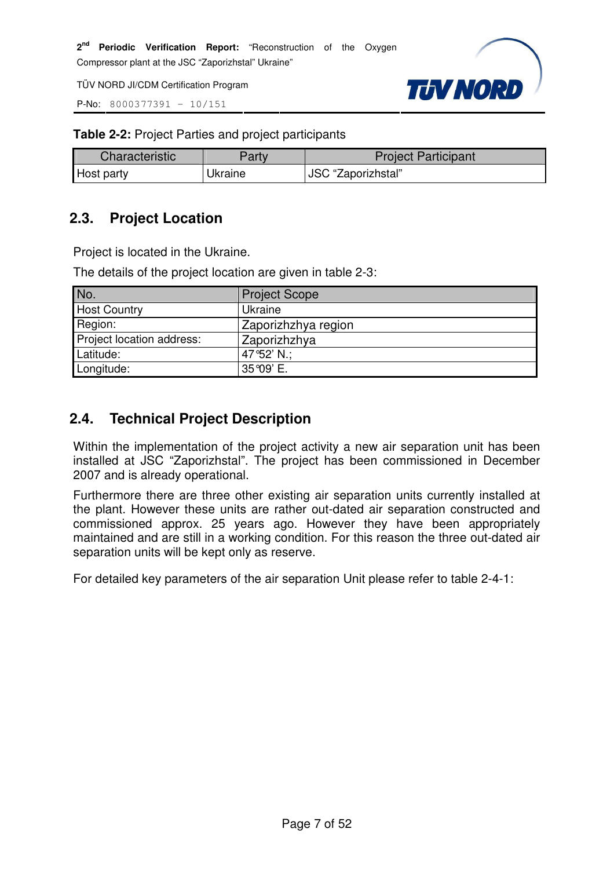P-No: 8000377391 – 10/151



**Table 2-2:** Project Parties and project participants

| <b>Characteristic</b> | Party   | <b>Project Participant</b> |
|-----------------------|---------|----------------------------|
| Host party            | Jkraine | JSC "Zaporizhstal"         |

# **2.3. Project Location**

Project is located in the Ukraine.

The details of the project location are given in table 2-3:

| No.                       | <b>Project Scope</b> |
|---------------------------|----------------------|
| <b>Host Country</b>       | Ukraine              |
| Region:                   | Zaporizhzhya region  |
| Project location address: | Zaporizhzhya         |
| Latitude:                 | 47°52' N.;           |
| Longitude:                | 35 ° 09' E.          |

# **2.4. Technical Project Description**

Within the implementation of the project activity a new air separation unit has been installed at JSC "Zaporizhstal". The project has been commissioned in December 2007 and is already operational.

Furthermore there are three other existing air separation units currently installed at the plant. However these units are rather out-dated air separation constructed and commissioned approx. 25 years ago. However they have been appropriately maintained and are still in a working condition. For this reason the three out-dated air separation units will be kept only as reserve.

For detailed key parameters of the air separation Unit please refer to table 2-4-1: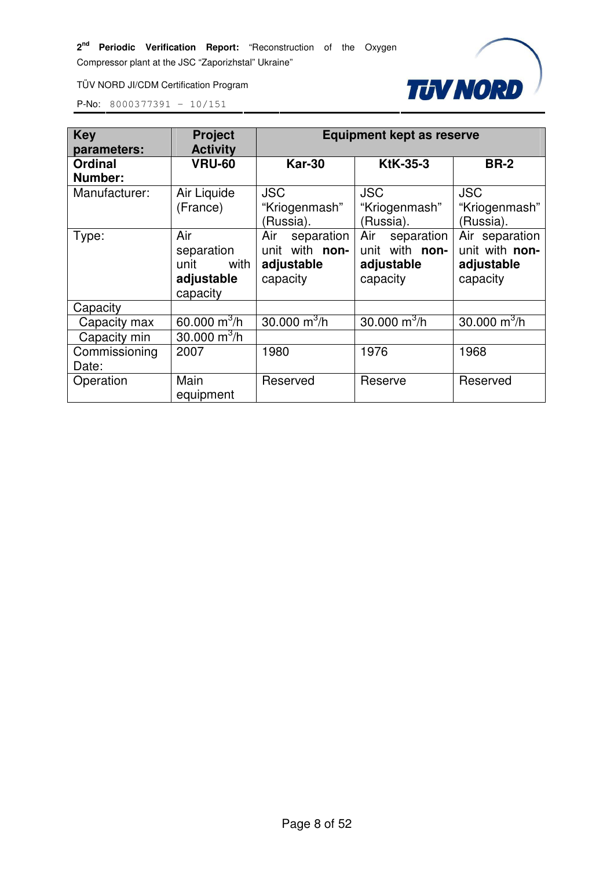TÜV NORD JI/CDM Certification Program



| <b>Key</b>     | <b>Project</b>           | <b>Equipment kept as reserve</b> |                   |                |  |
|----------------|--------------------------|----------------------------------|-------------------|----------------|--|
| parameters:    | <b>Activity</b>          |                                  |                   |                |  |
| <b>Ordinal</b> | <b>VRU-60</b>            | <b>Kar-30</b>                    | <b>KtK-35-3</b>   | <b>BR-2</b>    |  |
| Number:        |                          |                                  |                   |                |  |
| Manufacturer:  | Air Liquide              | <b>JSC</b>                       | <b>JSC</b>        | <b>JSC</b>     |  |
|                | (France)                 | "Kriogenmash"                    | "Kriogenmash"     | "Kriogenmash"  |  |
|                |                          | (Russia).                        | (Russia).         | (Russia).      |  |
| Type:          | Air                      | Air<br>separation                | Air<br>separation | Air separation |  |
|                | separation               | unit with non-                   | unit with non-    | unit with non- |  |
|                | unit<br>with             | adjustable                       | adjustable        | adjustable     |  |
|                | adjustable               | capacity                         | capacity          | capacity       |  |
|                | capacity                 |                                  |                   |                |  |
| Capacity       |                          |                                  |                   |                |  |
| Capacity max   | 60.000 $\mathrm{m}^3$ /h | 30.000 $m^3/h$                   | 30.000 $m^3/h$    | 30.000 $m^3/h$ |  |
| Capacity min   | 30.000 $m^3/h$           |                                  |                   |                |  |
| Commissioning  | 2007                     | 1980                             | 1976              | 1968           |  |
| Date:          |                          |                                  |                   |                |  |
| Operation      | Main                     | Reserved                         | Reserve           | Reserved       |  |
|                | equipment                |                                  |                   |                |  |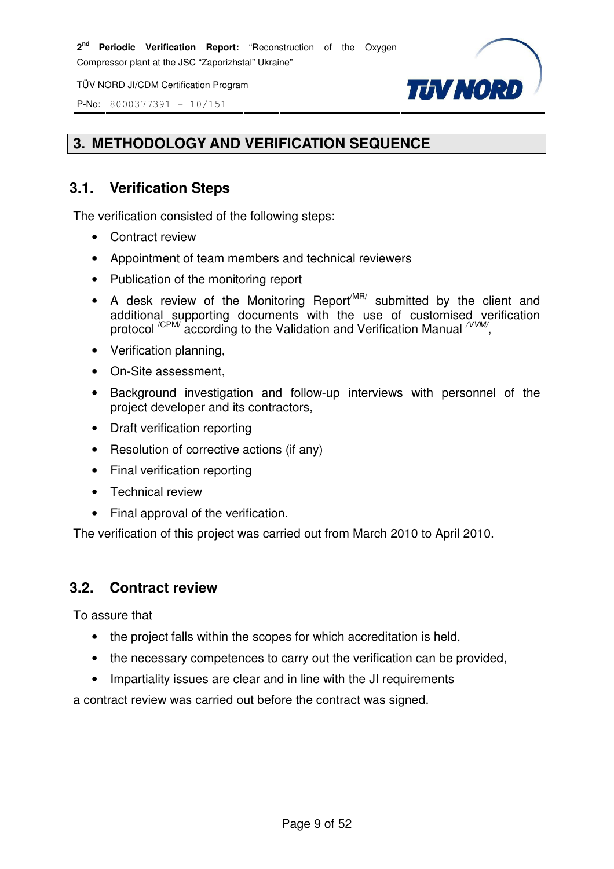P-No: 8000377391 – 10/151



# **3. METHODOLOGY AND VERIFICATION SEQUENCE**

# **3.1. Verification Steps**

The verification consisted of the following steps:

- Contract review
- Appointment of team members and technical reviewers
- Publication of the monitoring report
- A desk review of the Monitoring Report<sup>MR/</sup> submitted by the client and additional supporting documents with the use of customised verification protocol  $\sqrt{CP}$ M/ according to the Validation and Verification Manual  $\sqrt{V}$ M/,
- Verification planning,
- On-Site assessment,
- Background investigation and follow-up interviews with personnel of the project developer and its contractors,
- Draft verification reporting
- Resolution of corrective actions (if any)
- Final verification reporting
- Technical review
- Final approval of the verification.

The verification of this project was carried out from March 2010 to April 2010.

#### **3.2. Contract review**

To assure that

- the project falls within the scopes for which accreditation is held,
- the necessary competences to carry out the verification can be provided,
- Impartiality issues are clear and in line with the JI requirements

a contract review was carried out before the contract was signed.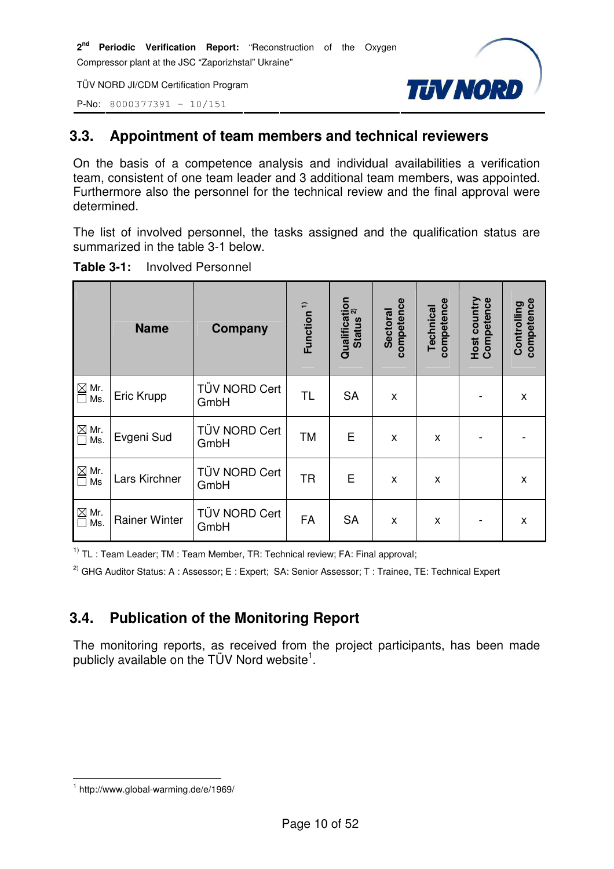P-No: 8000377391 – 10/151



# **3.3. Appointment of team members and technical reviewers**

On the basis of a competence analysis and individual availabilities a verification team, consistent of one team leader and 3 additional team members, was appointed. Furthermore also the personnel for the technical review and the final approval were determined.

The list of involved personnel, the tasks assigned and the qualification status are summarized in the table 3-1 below.

|                                  | <b>Name</b>          | Company               | Function <sup>1)</sup> | Qualification<br><b>Status</b> | competence<br><b>Sectoral</b> | competence<br>Technical | <b>Host country</b><br>Competence | competence<br>Controlling |
|----------------------------------|----------------------|-----------------------|------------------------|--------------------------------|-------------------------------|-------------------------|-----------------------------------|---------------------------|
| $\boxtimes$ Mr.<br>П<br>Ms.      | Eric Krupp           | TÜV NORD Cert<br>GmbH | <b>TL</b>              | <b>SA</b>                      | X                             |                         |                                   | X                         |
| $\boxtimes$ Mr.<br>Ms.<br>$\Box$ | Evgeni Sud           | TÜV NORD Cert<br>GmbH | <b>TM</b>              | E                              | X                             | X                       |                                   |                           |
| $\boxtimes$ Mr.<br>Ms<br>$\Box$  | Lars Kirchner        | TÜV NORD Cert<br>GmbH | <b>TR</b>              | E                              | X                             | X                       |                                   | X                         |
| $\boxtimes$<br>Mr.<br>Ms.        | <b>Rainer Winter</b> | TÜV NORD Cert<br>GmbH | <b>FA</b>              | <b>SA</b>                      | X                             | X                       |                                   | X                         |

| <b>Involved Personnel</b><br><b>Table 3-1:</b> |
|------------------------------------------------|
|------------------------------------------------|

 $1)$  TL : Team Leader; TM : Team Member, TR: Technical review; FA: Final approval;

<sup>2)</sup> GHG Auditor Status: A : Assessor; E : Expert; SA: Senior Assessor; T : Trainee, TE: Technical Expert

# **3.4. Publication of the Monitoring Report**

The monitoring reports, as received from the project participants, has been made publicly available on the TÜV Nord website<sup>1</sup>.

l 1 http://www.global-warming.de/e/1969/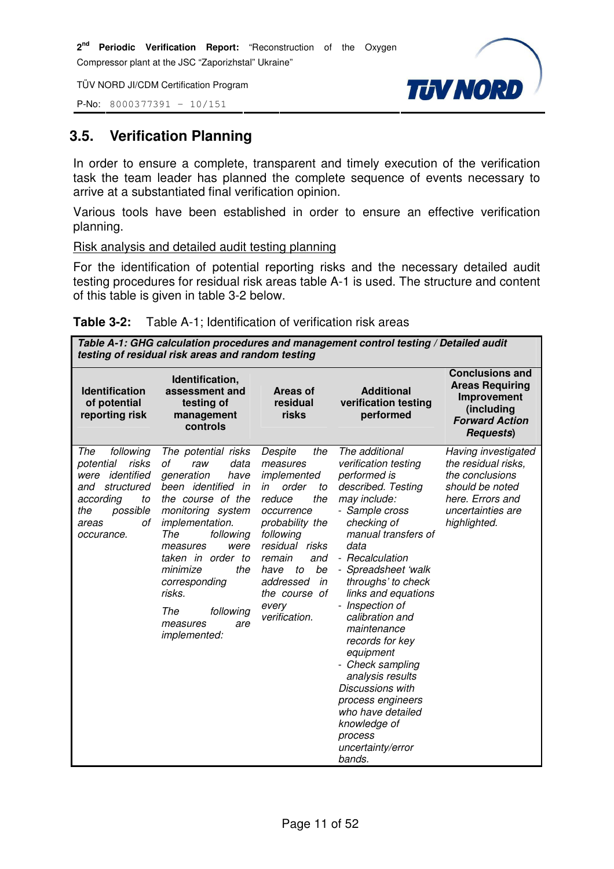P-No: 8000377391 – 10/151



# **3.5. Verification Planning**

In order to ensure a complete, transparent and timely execution of the verification task the team leader has planned the complete sequence of events necessary to arrive at a substantiated final verification opinion.

Various tools have been established in order to ensure an effective verification planning.

#### Risk analysis and detailed audit testing planning

For the identification of potential reporting risks and the necessary detailed audit testing procedures for residual risk areas table A-1 is used. The structure and content of this table is given in table 3-2 below.

|  | <b>Table 3-2:</b> Table A-1; Identification of verification risk areas |
|--|------------------------------------------------------------------------|
|--|------------------------------------------------------------------------|

**Table A-1: GHG calculation procedures and management control testing / Detailed audit testing of residual risk areas and random testing**

| <b>Identification</b><br>of potential<br>reporting risk                                                                                              | Identification,<br>assessment and<br>testing of<br>management<br>controls                                                                                                                                                                                                                                                     | Areas of<br>residual<br>risks                                                                                                                                                                                                                         | <b>Additional</b><br>verification testing<br>performed                                                                                                                                                                                                                                                                                                                                                                                                                                                 | <b>Conclusions and</b><br><b>Areas Requiring</b><br>Improvement<br>(including<br><b>Forward Action</b><br><b>Requests</b> )               |
|------------------------------------------------------------------------------------------------------------------------------------------------------|-------------------------------------------------------------------------------------------------------------------------------------------------------------------------------------------------------------------------------------------------------------------------------------------------------------------------------|-------------------------------------------------------------------------------------------------------------------------------------------------------------------------------------------------------------------------------------------------------|--------------------------------------------------------------------------------------------------------------------------------------------------------------------------------------------------------------------------------------------------------------------------------------------------------------------------------------------------------------------------------------------------------------------------------------------------------------------------------------------------------|-------------------------------------------------------------------------------------------------------------------------------------------|
| The<br>following<br>risks<br>potential<br>identified<br>were<br>structured<br>and<br>according<br>to<br>possible<br>the<br>οf<br>areas<br>occurance. | The potential risks<br>οf<br>data<br>raw<br>generation<br>have<br>been identified<br>in<br>the course of the<br>monitoring system<br><i>implementation.</i><br>The<br>following<br>measures<br>were<br>taken in order to<br>minimize<br>the<br>corresponding<br>risks.<br>The<br>following<br>measures<br>are<br>implemented: | Despite<br>the<br>measures<br>implemented<br>order<br>in<br>to<br>reduce<br>the<br>occurrence<br>probability the<br>following<br>residual risks<br>remain<br>and<br>be<br>have<br>to<br>addressed<br>in<br>the course<br>0f<br>every<br>verification. | The additional<br>verification testing<br>performed is<br>described. Testing<br>may include:<br>- Sample cross<br>checking of<br>manual transfers of<br>data<br>- Recalculation<br>Spreadsheet 'walk<br>throughs' to check<br>links and equations<br>- Inspection of<br>calibration and<br>maintenance<br>records for key<br>equipment<br>- Check sampling<br>analysis results<br>Discussions with<br>process engineers<br>who have detailed<br>knowledge of<br>process<br>uncertainty/error<br>bands. | Having investigated<br>the residual risks,<br>the conclusions<br>should be noted<br>here. Errors and<br>uncertainties are<br>highlighted. |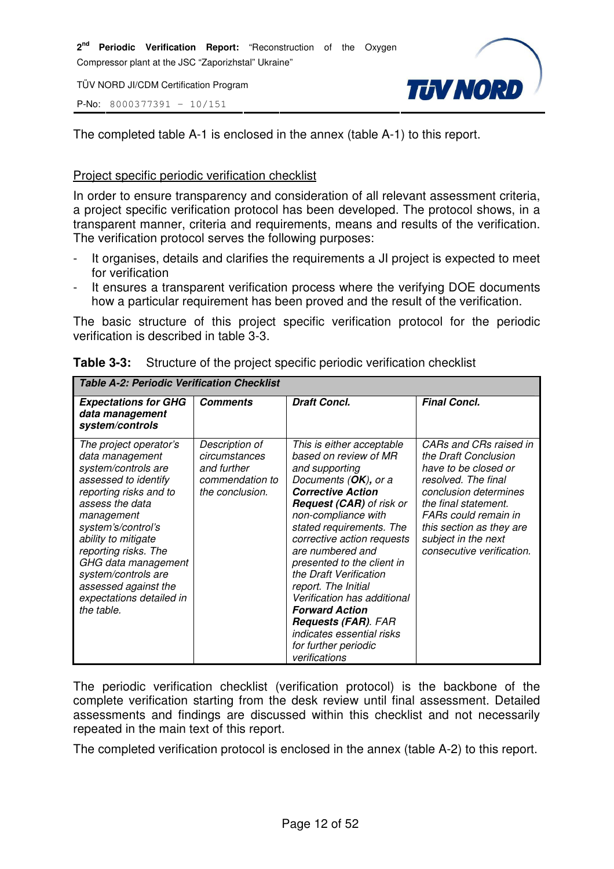P-No: 8000377391 – 10/151



The completed table A-1 is enclosed in the annex (table A-1) to this report.

#### Project specific periodic verification checklist

In order to ensure transparency and consideration of all relevant assessment criteria, a project specific verification protocol has been developed. The protocol shows, in a transparent manner, criteria and requirements, means and results of the verification. The verification protocol serves the following purposes:

- It organises, details and clarifies the requirements a JI project is expected to meet for verification
- It ensures a transparent verification process where the verifying DOE documents how a particular requirement has been proved and the result of the verification.

The basic structure of this project specific verification protocol for the periodic verification is described in table 3-3.

| Table A-2: Periodic Verification Checklist                                                                                                                                                                                                                                                                                               |                                                                                      |                                                                                                                                                                                                                                                                                                                                                                                                                                                                                                             |                                                                                                                                                                                                                                                        |
|------------------------------------------------------------------------------------------------------------------------------------------------------------------------------------------------------------------------------------------------------------------------------------------------------------------------------------------|--------------------------------------------------------------------------------------|-------------------------------------------------------------------------------------------------------------------------------------------------------------------------------------------------------------------------------------------------------------------------------------------------------------------------------------------------------------------------------------------------------------------------------------------------------------------------------------------------------------|--------------------------------------------------------------------------------------------------------------------------------------------------------------------------------------------------------------------------------------------------------|
| <b>Expectations for GHG</b><br>data management<br>system/controls                                                                                                                                                                                                                                                                        | <b>Comments</b>                                                                      | <b>Draft Concl.</b>                                                                                                                                                                                                                                                                                                                                                                                                                                                                                         | <b>Final Concl.</b>                                                                                                                                                                                                                                    |
| The project operator's<br>data management<br>system/controls are<br>assessed to identify<br>reporting risks and to<br>assess the data<br>management<br>system's/control's<br>ability to mitigate<br>reporting risks. The<br>GHG data management<br>system/controls are<br>assessed against the<br>expectations detailed in<br>the table. | Description of<br>circumstances<br>and further<br>commendation to<br>the conclusion. | This is either acceptable<br>based on review of MR<br>and supporting<br>Documents (OK), or a<br><b>Corrective Action</b><br><b>Request (CAR)</b> of risk or<br>non-compliance with<br>stated requirements. The<br>corrective action requests<br>are numbered and<br>presented to the client in<br>the Draft Verification<br>report. The Initial<br>Verification has additional<br><b>Forward Action</b><br><b>Requests (FAR). FAR</b><br>indicates essential risks<br>for further periodic<br>verifications | CARs and CRs raised in<br>the Draft Conclusion<br>have to be closed or<br>resolved. The final<br>conclusion determines<br>the final statement.<br>FARs could remain in<br>this section as they are<br>subject in the next<br>consecutive verification. |

| <b>Table 3-3:</b> Structure of the project specific periodic verification checklist |
|-------------------------------------------------------------------------------------|
|-------------------------------------------------------------------------------------|

The periodic verification checklist (verification protocol) is the backbone of the complete verification starting from the desk review until final assessment. Detailed assessments and findings are discussed within this checklist and not necessarily repeated in the main text of this report.

The completed verification protocol is enclosed in the annex (table A-2) to this report.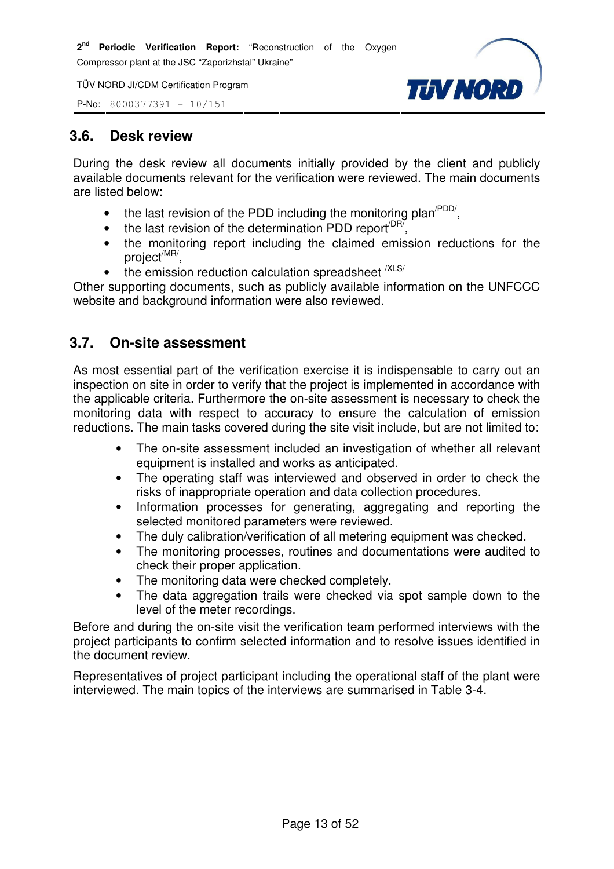P-No: 8000377391 – 10/151



#### **3.6. Desk review**

During the desk review all documents initially provided by the client and publicly available documents relevant for the verification were reviewed. The main documents are listed below:

- the last revision of the PDD including the monitoring plan<sup> $PDD/$ </sup>,
- the last revision of the determination PDD report<sup>/DR7</sup>,
- the monitoring report including the claimed emission reductions for the project<sup>/MR/</sup>,
- the emission reduction calculation spreadsheet  $X$ LS/

Other supporting documents, such as publicly available information on the UNFCCC website and background information were also reviewed.

# **3.7. On-site assessment**

As most essential part of the verification exercise it is indispensable to carry out an inspection on site in order to verify that the project is implemented in accordance with the applicable criteria. Furthermore the on-site assessment is necessary to check the monitoring data with respect to accuracy to ensure the calculation of emission reductions. The main tasks covered during the site visit include, but are not limited to:

- The on-site assessment included an investigation of whether all relevant equipment is installed and works as anticipated.
- The operating staff was interviewed and observed in order to check the risks of inappropriate operation and data collection procedures.
- Information processes for generating, aggregating and reporting the selected monitored parameters were reviewed.
- The duly calibration/verification of all metering equipment was checked.
- The monitoring processes, routines and documentations were audited to check their proper application.
- The monitoring data were checked completely.
- The data aggregation trails were checked via spot sample down to the level of the meter recordings.

Before and during the on-site visit the verification team performed interviews with the project participants to confirm selected information and to resolve issues identified in the document review.

Representatives of project participant including the operational staff of the plant were interviewed. The main topics of the interviews are summarised in Table 3-4.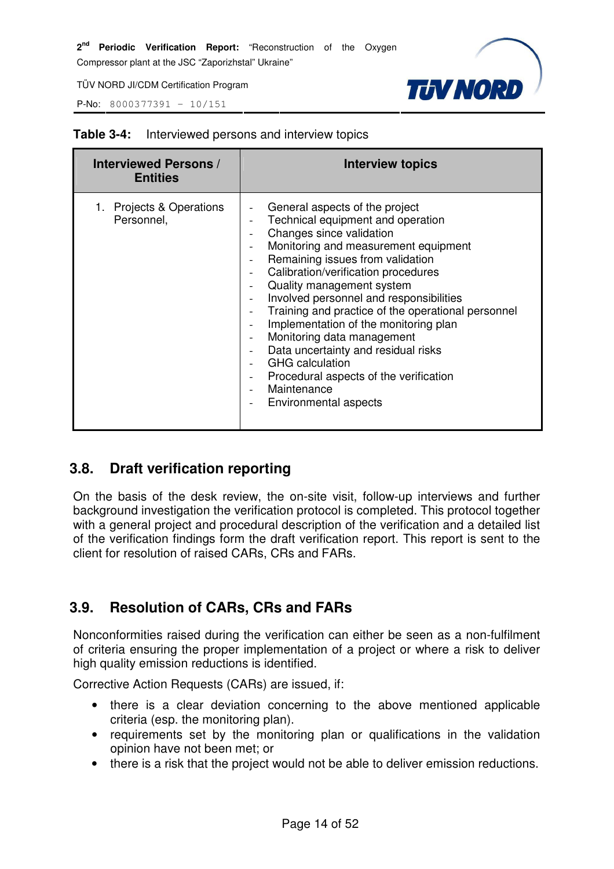P-No: 8000377391 – 10/151



| <b>Interviewed Persons /</b><br><b>Entities</b> | <b>Interview topics</b>                                                                                                                                                                                                                                                                                                                                                                                                                                                                                                                                                                                                            |
|-------------------------------------------------|------------------------------------------------------------------------------------------------------------------------------------------------------------------------------------------------------------------------------------------------------------------------------------------------------------------------------------------------------------------------------------------------------------------------------------------------------------------------------------------------------------------------------------------------------------------------------------------------------------------------------------|
| 1. Projects & Operations<br>Personnel,          | General aspects of the project<br>Technical equipment and operation<br>Changes since validation<br>Monitoring and measurement equipment<br>Remaining issues from validation<br>$\overline{\phantom{a}}$<br>Calibration/verification procedures<br>Quality management system<br>Involved personnel and responsibilities<br>Training and practice of the operational personnel<br>Implementation of the monitoring plan<br>Monitoring data management<br>Data uncertainty and residual risks<br><b>GHG</b> calculation<br>Procedural aspects of the verification<br>$\overline{\phantom{a}}$<br>Maintenance<br>Environmental aspects |

#### **Table 3-4:** Interviewed persons and interview topics

# **3.8. Draft verification reporting**

On the basis of the desk review, the on-site visit, follow-up interviews and further background investigation the verification protocol is completed. This protocol together with a general project and procedural description of the verification and a detailed list of the verification findings form the draft verification report. This report is sent to the client for resolution of raised CARs, CRs and FARs.

# **3.9. Resolution of CARs, CRs and FARs**

Nonconformities raised during the verification can either be seen as a non-fulfilment of criteria ensuring the proper implementation of a project or where a risk to deliver high quality emission reductions is identified.

Corrective Action Requests (CARs) are issued, if:

- there is a clear deviation concerning to the above mentioned applicable criteria (esp. the monitoring plan).
- requirements set by the monitoring plan or qualifications in the validation opinion have not been met; or
- there is a risk that the project would not be able to deliver emission reductions.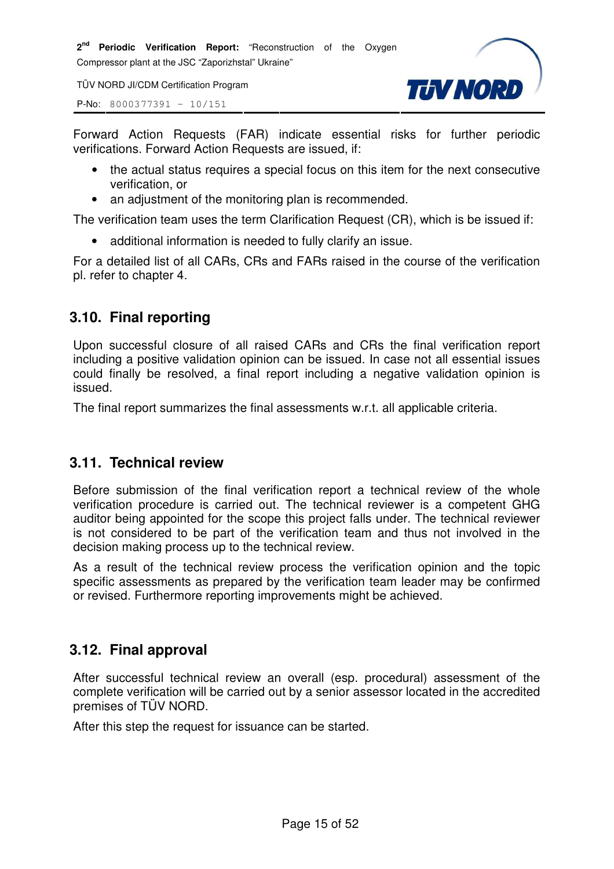**2 nd Periodic Verification Report:** "Reconstruction of the Oxygen Compressor plant at the JSC "Zaporizhstal" Ukraine"

TÜV NORD JI/CDM Certification Program

P-No: 8000377391 – 10/151



Forward Action Requests (FAR) indicate essential risks for further periodic verifications. Forward Action Requests are issued, if:

- the actual status requires a special focus on this item for the next consecutive verification, or
- an adjustment of the monitoring plan is recommended.

The verification team uses the term Clarification Request (CR), which is be issued if:

• additional information is needed to fully clarify an issue.

For a detailed list of all CARs, CRs and FARs raised in the course of the verification pl. refer to chapter 4.

#### **3.10. Final reporting**

Upon successful closure of all raised CARs and CRs the final verification report including a positive validation opinion can be issued. In case not all essential issues could finally be resolved, a final report including a negative validation opinion is issued.

The final report summarizes the final assessments w.r.t. all applicable criteria.

#### **3.11. Technical review**

Before submission of the final verification report a technical review of the whole verification procedure is carried out. The technical reviewer is a competent GHG auditor being appointed for the scope this project falls under. The technical reviewer is not considered to be part of the verification team and thus not involved in the decision making process up to the technical review.

As a result of the technical review process the verification opinion and the topic specific assessments as prepared by the verification team leader may be confirmed or revised. Furthermore reporting improvements might be achieved.

#### **3.12. Final approval**

After successful technical review an overall (esp. procedural) assessment of the complete verification will be carried out by a senior assessor located in the accredited premises of TÜV NORD.

After this step the request for issuance can be started.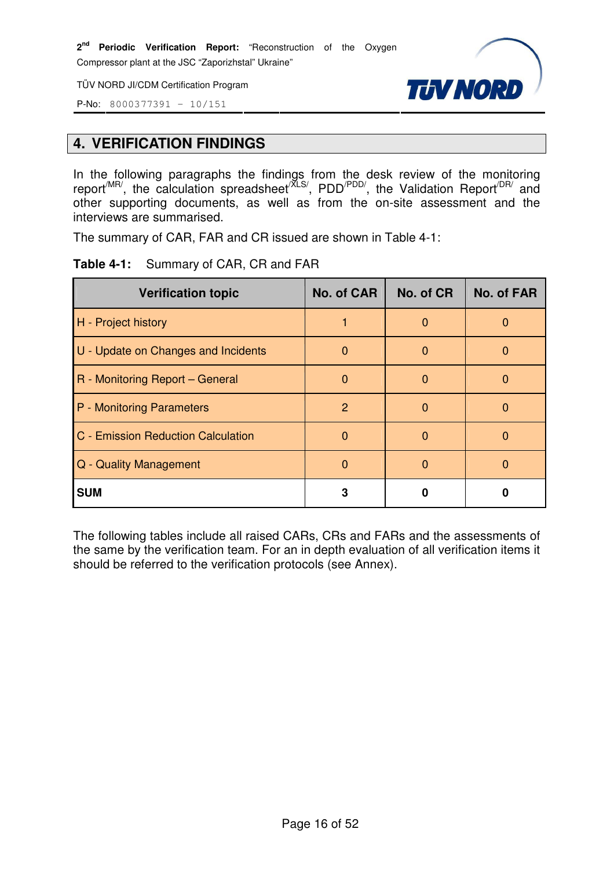TÜV NORD JI/CDM Certification Program



P-No: 8000377391 – 10/151

#### **4. VERIFICATION FINDINGS**

In the following paragraphs the findings from the desk review of the monitoring report<sup>/MR/</sup>, the calculation spreadsheet<sup>/XLS/</sup>, PDD<sup>/PDD/</sup>, the Validation Report<sup>/DR/</sup> and other supporting documents, as well as from the on-site assessment and the interviews are summarised.

The summary of CAR, FAR and CR issued are shown in Table 4-1:

|  |  |  | Table 4-1: Summary of CAR, CR and FAR |
|--|--|--|---------------------------------------|
|--|--|--|---------------------------------------|

| <b>Verification topic</b>           | No. of CAR | No. of CR | No. of FAR   |
|-------------------------------------|------------|-----------|--------------|
| H - Project history                 |            | 0         |              |
| U - Update on Changes and Incidents | O          | 0         | $\mathbf{O}$ |
| R - Monitoring Report - General     | O          | O         |              |
| P - Monitoring Parameters           | 2          | $\Omega$  |              |
| C - Emission Reduction Calculation  |            | $\Omega$  | O            |
| Q - Quality Management              |            |           |              |
| <b>SUM</b>                          | 3          |           |              |

The following tables include all raised CARs, CRs and FARs and the assessments of the same by the verification team. For an in depth evaluation of all verification items it should be referred to the verification protocols (see Annex).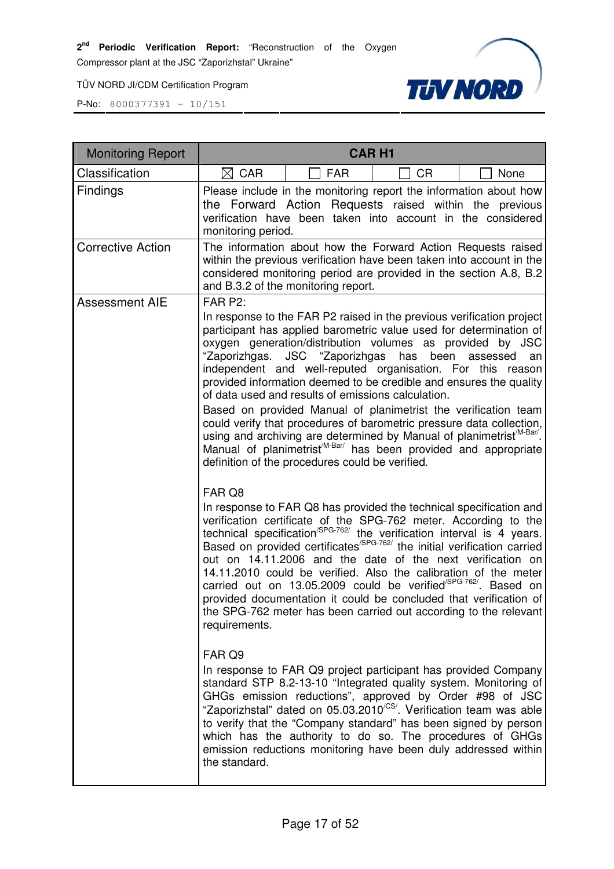**2 nd Periodic Verification Report:** "Reconstruction of the Oxygen

Compressor plant at the JSC "Zaporizhstal" Ukraine"

TÜV NORD JI/CDM Certification Program



| <b>Monitoring Report</b> | <b>CARH1</b>                                                                                                                                                                                                                                                                                                                                                                                                                                                                                                                                                                                                                                                                                                                                                                                                                          |
|--------------------------|---------------------------------------------------------------------------------------------------------------------------------------------------------------------------------------------------------------------------------------------------------------------------------------------------------------------------------------------------------------------------------------------------------------------------------------------------------------------------------------------------------------------------------------------------------------------------------------------------------------------------------------------------------------------------------------------------------------------------------------------------------------------------------------------------------------------------------------|
| Classification           | $\boxtimes$ CAR<br><b>FAR</b><br><b>CR</b><br>None                                                                                                                                                                                                                                                                                                                                                                                                                                                                                                                                                                                                                                                                                                                                                                                    |
| Findings                 | Please include in the monitoring report the information about how<br>the Forward Action Requests raised within the previous<br>verification have been taken into account in the considered<br>monitoring period.                                                                                                                                                                                                                                                                                                                                                                                                                                                                                                                                                                                                                      |
| <b>Corrective Action</b> | The information about how the Forward Action Requests raised<br>within the previous verification have been taken into account in the<br>considered monitoring period are provided in the section A.8, B.2<br>and B.3.2 of the monitoring report.                                                                                                                                                                                                                                                                                                                                                                                                                                                                                                                                                                                      |
| <b>Assessment AIE</b>    | FAR P2:                                                                                                                                                                                                                                                                                                                                                                                                                                                                                                                                                                                                                                                                                                                                                                                                                               |
|                          | In response to the FAR P2 raised in the previous verification project<br>participant has applied barometric value used for determination of<br>oxygen generation/distribution volumes as provided by JSC<br>"Zaporizhgas.<br>JSC "Zaporizhgas<br>has been<br>assessed<br>an<br>independent and well-reputed organisation. For this reason<br>provided information deemed to be credible and ensures the quality<br>of data used and results of emissions calculation.<br>Based on provided Manual of planimetrist the verification team<br>could verify that procedures of barometric pressure data collection,<br>using and archiving are determined by Manual of planimetrist <sup>/M-Bar/</sup> .<br>Manual of planimetrist <sup>M-Bar/</sup> has been provided and appropriate<br>definition of the procedures could be verified. |
|                          | FAR Q8<br>In response to FAR Q8 has provided the technical specification and<br>verification certificate of the SPG-762 meter. According to the<br>technical specification <sup>/SPG-762/</sup> the verification interval is 4 years.<br>Based on provided certificates <sup>/SPG-762/</sup> the initial verification carried<br>out on 14.11.2006 and the date of the next verification on<br>14.11.2010 could be verified. Also the calibration of the meter<br>carried out on 13.05.2009 could be verified <sup>/SPG-762/</sup> . Based on<br>provided documentation it could be concluded that verification of<br>the SPG-762 meter has been carried out according to the relevant<br>requirements.                                                                                                                               |
|                          | FAR Q9<br>In response to FAR Q9 project participant has provided Company<br>standard STP 8.2-13-10 "Integrated quality system. Monitoring of<br>GHGs emission reductions", approved by Order #98 of JSC<br>"Zaporizhstal" dated on 05.03.2010 <sup>/CS/</sup> . Verification team was able<br>to verify that the "Company standard" has been signed by person<br>which has the authority to do so. The procedures of GHGs<br>emission reductions monitoring have been duly addressed within<br>the standard.                                                                                                                                                                                                                                                                                                                          |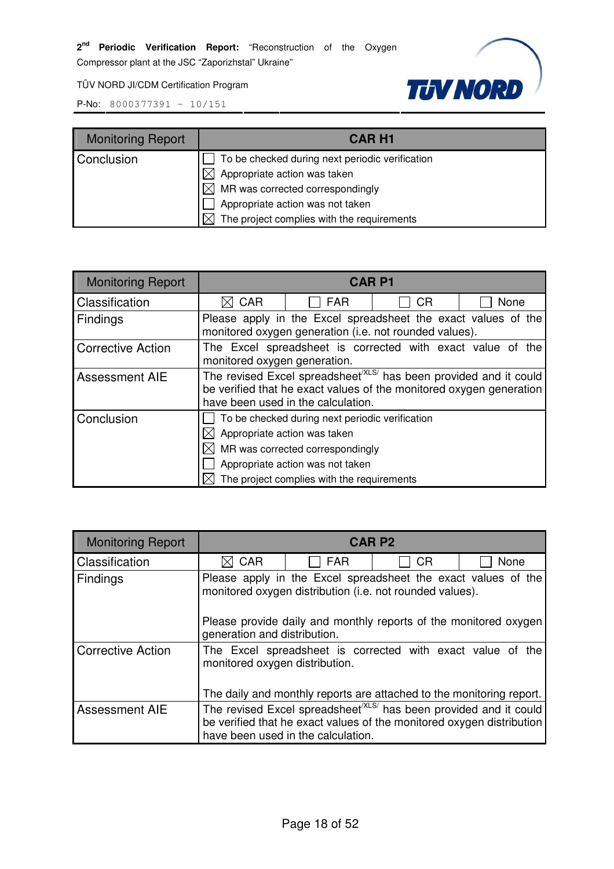**TUV NORD** 

TÜV NORD JI/CDM Certification Program

| <b>Monitoring Report</b> | <b>CAR H1</b>                                                                                                                                                                                              |
|--------------------------|------------------------------------------------------------------------------------------------------------------------------------------------------------------------------------------------------------|
| Conclusion               | To be checked during next periodic verification<br>Appropriate action was taken<br>MR was corrected correspondingly<br>M<br>Appropriate action was not taken<br>The project complies with the requirements |

| <b>Monitoring Report</b>         | <b>CARP1</b>                                                                                                                                                                               |                                  |           |      |
|----------------------------------|--------------------------------------------------------------------------------------------------------------------------------------------------------------------------------------------|----------------------------------|-----------|------|
| Classification                   | <b>CAR</b>                                                                                                                                                                                 | <b>FAR</b>                       | <b>CR</b> | None |
| <b>Findings</b>                  | Please apply in the Excel spreadsheet the exact values of the<br>monitored oxygen generation (i.e. not rounded values).                                                                    |                                  |           |      |
| <b>Corrective Action</b>         | The Excel spreadsheet is corrected with exact value of the<br>monitored oxygen generation.                                                                                                 |                                  |           |      |
| Assessment AIE                   | The revised Excel spreadsheet <sup>(XLS/</sup> has been provided and it could<br>be verified that he exact values of the monitored oxygen generation<br>have been used in the calculation. |                                  |           |      |
| Conclusion                       | To be checked during next periodic verification                                                                                                                                            |                                  |           |      |
|                                  | $\times$ Appropriate action was taken                                                                                                                                                      |                                  |           |      |
| MR was corrected correspondingly |                                                                                                                                                                                            |                                  |           |      |
|                                  |                                                                                                                                                                                            | Appropriate action was not taken |           |      |
|                                  | The project complies with the requirements                                                                                                                                                 |                                  |           |      |

| <b>Monitoring Report</b> | <b>CARP2</b>                                                                                                              |                                                                      |           |                                                                                                                                                        |
|--------------------------|---------------------------------------------------------------------------------------------------------------------------|----------------------------------------------------------------------|-----------|--------------------------------------------------------------------------------------------------------------------------------------------------------|
| Classification           | <b>CAR</b><br>M                                                                                                           | <b>FAR</b>                                                           | <b>CR</b> | None                                                                                                                                                   |
| <b>Findings</b>          | Please apply in the Excel spreadsheet the exact values of the<br>monitored oxygen distribution (i.e. not rounded values). |                                                                      |           |                                                                                                                                                        |
|                          | generation and distribution.                                                                                              |                                                                      |           | Please provide daily and monthly reports of the monitored oxygen                                                                                       |
| <b>Corrective Action</b> | The Excel spreadsheet is corrected with exact value of the<br>monitored oxygen distribution.                              |                                                                      |           |                                                                                                                                                        |
|                          |                                                                                                                           | The daily and monthly reports are attached to the monitoring report. |           |                                                                                                                                                        |
| <b>Assessment AIE</b>    |                                                                                                                           | have been used in the calculation.                                   |           | The revised Excel spreadsheet <sup>(XLS/</sup> has been provided and it could<br>be verified that he exact values of the monitored oxygen distribution |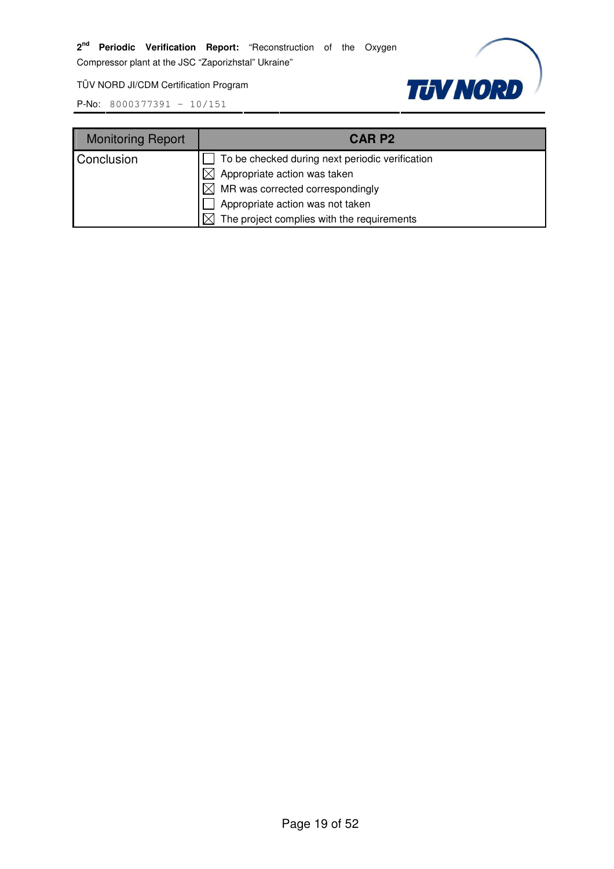TÜV NORD JI/CDM Certification Program



| <b>Monitoring Report</b> | CAR P <sub>2</sub>                              |
|--------------------------|-------------------------------------------------|
| Conclusion               | To be checked during next periodic verification |
|                          | Appropriate action was taken                    |
|                          | $\boxtimes$ MR was corrected correspondingly    |
|                          | Appropriate action was not taken                |
|                          | The project complies with the requirements      |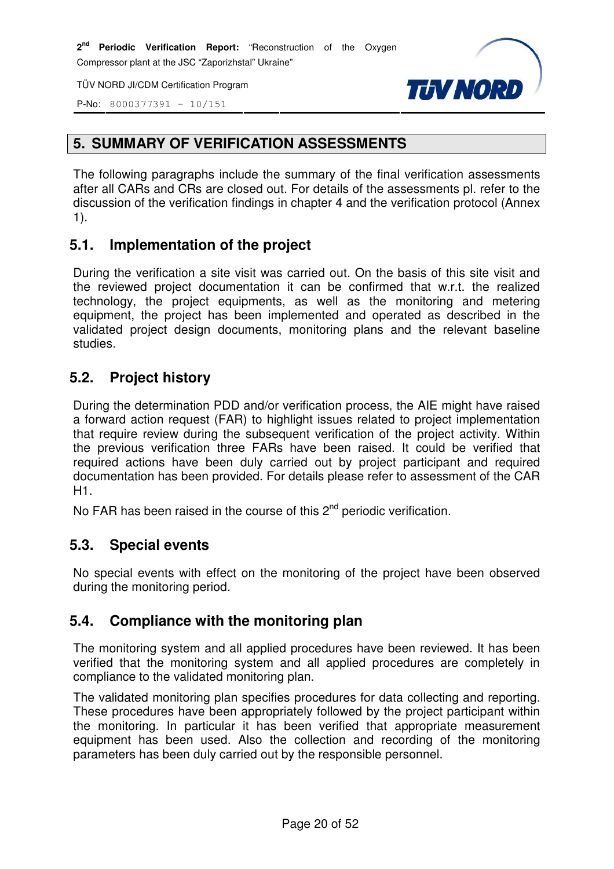TÜV NORD JI/CDM Certification Program





# **5. SUMMARY OF VERIFICATION ASSESSMENTS**

The following paragraphs include the summary of the final verification assessments after all CARs and CRs are closed out. For details of the assessments pl. refer to the discussion of the verification findings in chapter 4 and the verification protocol (Annex 1).

# **5.1. Implementation of the project**

During the verification a site visit was carried out. On the basis of this site visit and the reviewed project documentation it can be confirmed that w.r.t. the realized technology, the project equipments, as well as the monitoring and metering equipment, the project has been implemented and operated as described in the validated project design documents, monitoring plans and the relevant baseline studies.

# **5.2. Project history**

During the determination PDD and/or verification process, the AIE might have raised a forward action request (FAR) to highlight issues related to project implementation that require review during the subsequent verification of the project activity. Within the previous verification three FARs have been raised. It could be verified that required actions have been duly carried out by project participant and required documentation has been provided. For details please refer to assessment of the CAR H1.

No FAR has been raised in the course of this  $2^{nd}$  periodic verification.

# **5.3. Special events**

No special events with effect on the monitoring of the project have been observed during the monitoring period.

# **5.4. Compliance with the monitoring plan**

The monitoring system and all applied procedures have been reviewed. It has been verified that the monitoring system and all applied procedures are completely in compliance to the validated monitoring plan.

The validated monitoring plan specifies procedures for data collecting and reporting. These procedures have been appropriately followed by the project participant within the monitoring. In particular it has been verified that appropriate measurement equipment has been used. Also the collection and recording of the monitoring parameters has been duly carried out by the responsible personnel.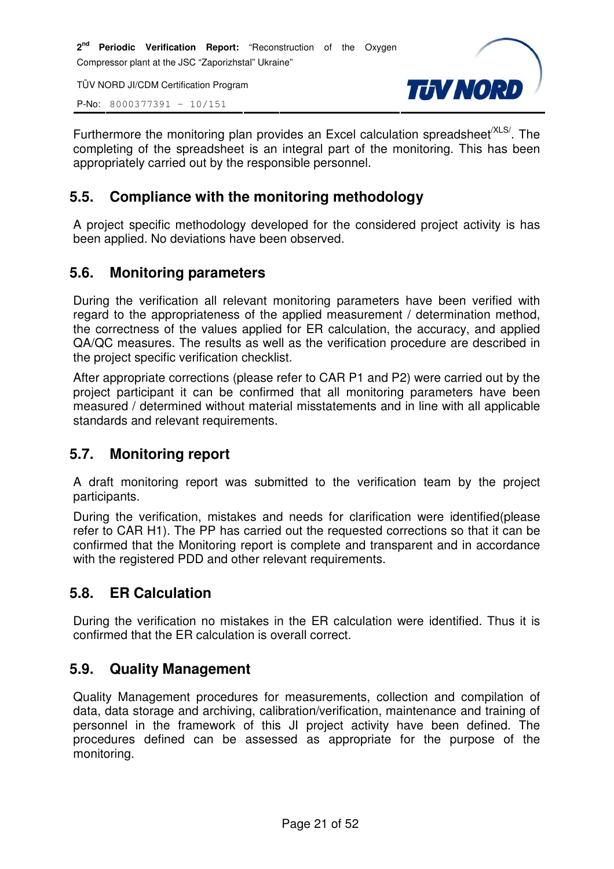**2 nd Periodic Verification Report:** "Reconstruction of the Oxygen Compressor plant at the JSC "Zaporizhstal" Ukraine"

TÜV NORD JI/CDM Certification Program

P-No: 8000377391 – 10/151



Furthermore the monitoring plan provides an Excel calculation spreadsheet<sup>/XLS/</sup>. The completing of the spreadsheet is an integral part of the monitoring. This has been appropriately carried out by the responsible personnel.

#### **5.5. Compliance with the monitoring methodology**

A project specific methodology developed for the considered project activity is has been applied. No deviations have been observed.

#### **5.6. Monitoring parameters**

During the verification all relevant monitoring parameters have been verified with regard to the appropriateness of the applied measurement / determination method, the correctness of the values applied for ER calculation, the accuracy, and applied QA/QC measures. The results as well as the verification procedure are described in the project specific verification checklist.

After appropriate corrections (please refer to CAR P1 and P2) were carried out by the project participant it can be confirmed that all monitoring parameters have been measured / determined without material misstatements and in line with all applicable standards and relevant requirements.

#### **5.7. Monitoring report**

A draft monitoring report was submitted to the verification team by the project participants.

During the verification, mistakes and needs for clarification were identified(please refer to CAR H1). The PP has carried out the requested corrections so that it can be confirmed that the Monitoring report is complete and transparent and in accordance with the registered PDD and other relevant requirements.

# **5.8. ER Calculation**

During the verification no mistakes in the ER calculation were identified. Thus it is confirmed that the ER calculation is overall correct.

# **5.9. Quality Management**

Quality Management procedures for measurements, collection and compilation of data, data storage and archiving, calibration/verification, maintenance and training of personnel in the framework of this JI project activity have been defined. The procedures defined can be assessed as appropriate for the purpose of the monitoring.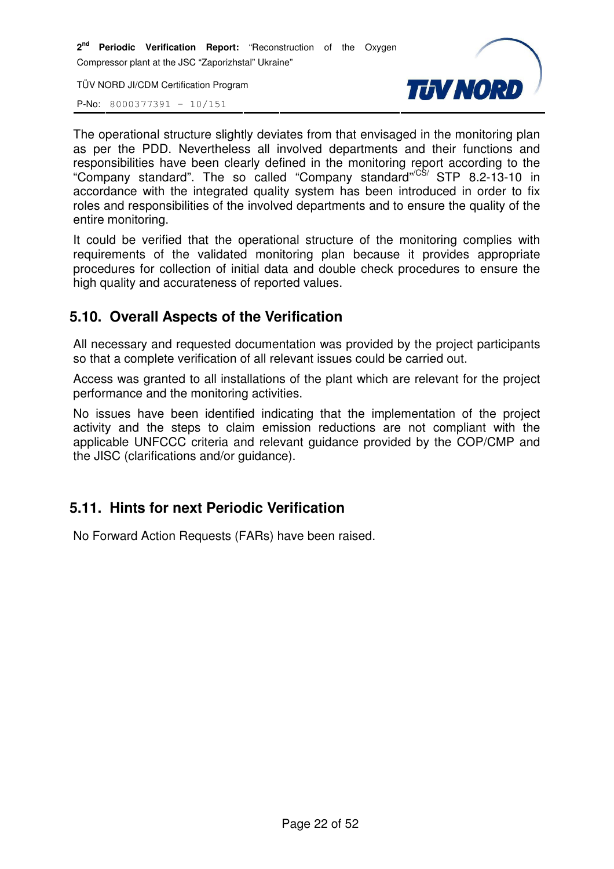**2 nd Periodic Verification Report:** "Reconstruction of the Oxygen Compressor plant at the JSC "Zaporizhstal" Ukraine"

TÜV NORD JI/CDM Certification Program

P-No: 8000377391 – 10/151



The operational structure slightly deviates from that envisaged in the monitoring plan as per the PDD. Nevertheless all involved departments and their functions and responsibilities have been clearly defined in the monitoring report according to the "Company standard". The so called "Company standard"<sup>/CS/</sup> STP 8.2-13-10 in accordance with the integrated quality system has been introduced in order to fix roles and responsibilities of the involved departments and to ensure the quality of the entire monitoring.

It could be verified that the operational structure of the monitoring complies with requirements of the validated monitoring plan because it provides appropriate procedures for collection of initial data and double check procedures to ensure the high quality and accurateness of reported values.

# **5.10. Overall Aspects of the Verification**

All necessary and requested documentation was provided by the project participants so that a complete verification of all relevant issues could be carried out.

Access was granted to all installations of the plant which are relevant for the project performance and the monitoring activities.

No issues have been identified indicating that the implementation of the project activity and the steps to claim emission reductions are not compliant with the applicable UNFCCC criteria and relevant guidance provided by the COP/CMP and the JISC (clarifications and/or guidance).

#### **5.11. Hints for next Periodic Verification**

No Forward Action Requests (FARs) have been raised.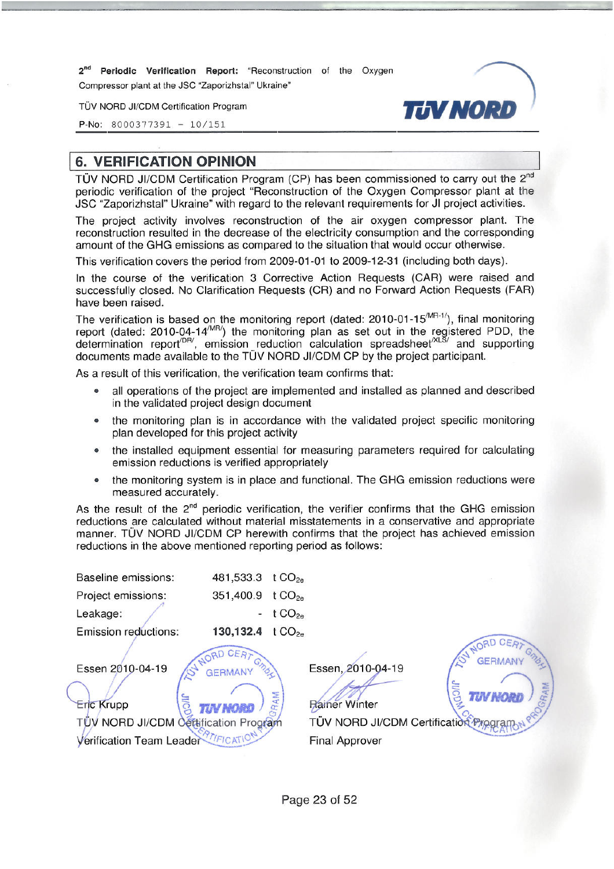2<sup>nd</sup> Periodic Verification Report: "Reconstruction of the Oxygen Compressor plant at the JSC "Zaporizhstal" Ukraine"

TÜV NORD JI/CDM Certification Program

P-No:  $8000377391 - 10/151$ 



**6. VERIFICATION OPINION** 

TÜV NORD JI/CDM Certification Program (CP) has been commissioned to carry out the 2<sup>nd</sup> periodic verification of the project "Reconstruction of the Oxygen Compressor plant at the JSC "Zaporizhstal" Ukraine" with regard to the relevant requirements for JI project activities.

The project activity involves reconstruction of the air oxygen compressor plant. The reconstruction resulted in the decrease of the electricity consumption and the corresponding amount of the GHG emissions as compared to the situation that would occur otherwise.

This verification covers the period from 2009-01-01 to 2009-12-31 (including both days).

In the course of the verification 3 Corrective Action Requests (CAR) were raised and successfully closed. No Clarification Requests (CR) and no Forward Action Requests (FAR) have been raised.

The verification is based on the monitoring report (dated: 2010-01-15<sup>/MR-1/</sup>), final monitoring report (dated: 2010-04-14<sup>/MR/</sup>) the monitoring plan as set out in the registered PDD, the determination report<sup>/DR/</sup>, emiss documents made available to the TÜV NORD JI/CDM CP by the project participant.

As a result of this verification, the verification team confirms that:

- all operations of the project are implemented and installed as planned and described in the validated project design document
- the monitoring plan is in accordance with the validated project specific monitoring plan developed for this project activity
- the installed equipment essential for measuring parameters required for calculating  $\bullet$ emission reductions is verified appropriately
- the monitoring system is in place and functional. The GHG emission reductions were  $\bullet$ measured accurately.

As the result of the 2<sup>nd</sup> periodic verification, the verifier confirms that the GHG emission reductions are calculated without material misstatements in a conservative and appropriate manner. TÜV NORD JI/CDM CP herewith confirms that the project has achieved emission reductions in the above mentioned reporting period as follows:



Essen, 2010-04-19

**GERMAN** TÜV NORD JI/CDM Certification Progr

**Final Approver** 

Page 23 of 52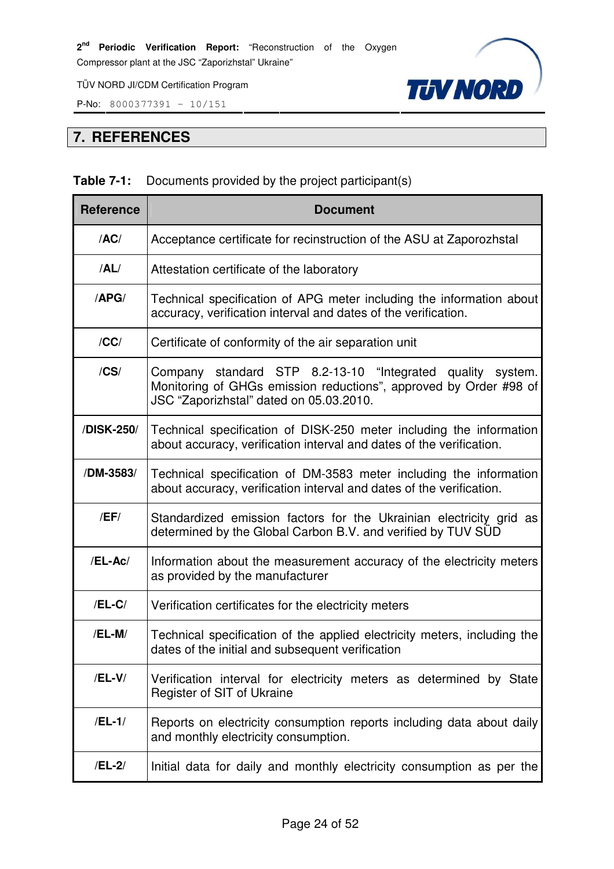P-No: 8000377391 – 10/151



# **7. REFERENCES**

# **Table 7-1:** Documents provided by the project participant(s)

| <b>Reference</b> | <b>Document</b>                                                                                                                                                            |
|------------------|----------------------------------------------------------------------------------------------------------------------------------------------------------------------------|
| /AC/             | Acceptance certificate for recinstruction of the ASU at Zaporozhstal                                                                                                       |
| /AL/             | Attestation certificate of the laboratory                                                                                                                                  |
| /APG/            | Technical specification of APG meter including the information about<br>accuracy, verification interval and dates of the verification.                                     |
| /CC/             | Certificate of conformity of the air separation unit                                                                                                                       |
| $/$ CS $/$       | Company standard STP 8.2-13-10 "Integrated quality system.<br>Monitoring of GHGs emission reductions", approved by Order #98 of<br>JSC "Zaporizhstal" dated on 05.03.2010. |
| /DISK-250/       | Technical specification of DISK-250 meter including the information<br>about accuracy, verification interval and dates of the verification.                                |
| /DM-3583/        | Technical specification of DM-3583 meter including the information<br>about accuracy, verification interval and dates of the verification.                                 |
| /EF/             | Standardized emission factors for the Ukrainian electricity grid as<br>determined by the Global Carbon B.V. and verified by TUV SUD                                        |
| /EL-Ac/          | Information about the measurement accuracy of the electricity meters<br>as provided by the manufacturer                                                                    |
| $/EL-C/$         | Verification certificates for the electricity meters                                                                                                                       |
| /EL-M/           | Technical specification of the applied electricity meters, including the<br>dates of the initial and subsequent verification                                               |
| /EL-V/           | Verification interval for electricity meters as determined by State<br>Register of SIT of Ukraine                                                                          |
| $/EL-1/$         | Reports on electricity consumption reports including data about daily<br>and monthly electricity consumption.                                                              |
| /EL-2/           | Initial data for daily and monthly electricity consumption as per the                                                                                                      |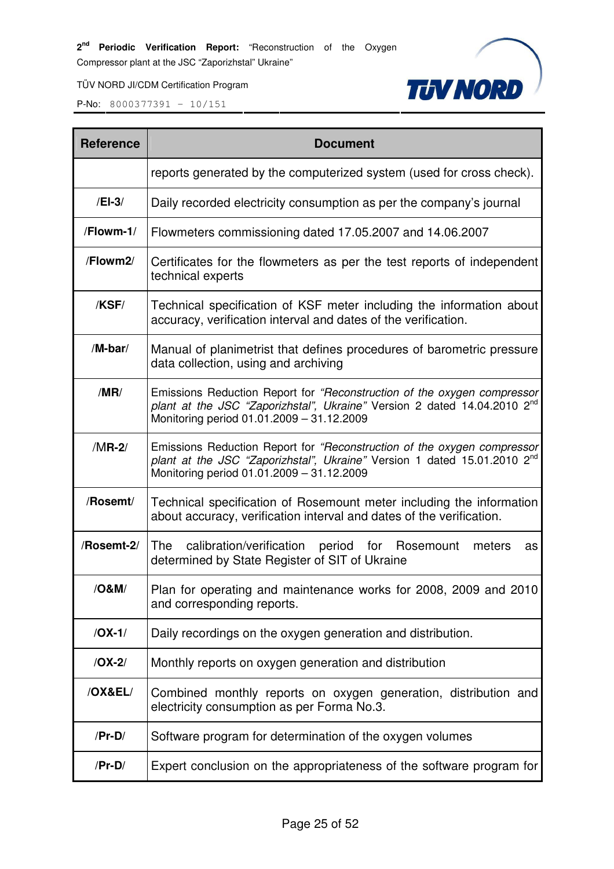**TUV NORD** 

TÜV NORD JI/CDM Certification Program

| <b>Reference</b> | <b>Document</b>                                                                                                                                                                                              |
|------------------|--------------------------------------------------------------------------------------------------------------------------------------------------------------------------------------------------------------|
|                  | reports generated by the computerized system (used for cross check).                                                                                                                                         |
| $/El-3/$         | Daily recorded electricity consumption as per the company's journal                                                                                                                                          |
| /Flowm-1/        | Flowmeters commissioning dated 17.05.2007 and 14.06.2007                                                                                                                                                     |
| /Flowm2/         | Certificates for the flowmeters as per the test reports of independent<br>technical experts                                                                                                                  |
| /KSF/            | Technical specification of KSF meter including the information about<br>accuracy, verification interval and dates of the verification.                                                                       |
| /M-bar/          | Manual of planimetrist that defines procedures of barometric pressure<br>data collection, using and archiving                                                                                                |
| /MR/             | Emissions Reduction Report for "Reconstruction of the oxygen compressor<br>plant at the JSC "Zaporizhstal", Ukraine" Version 2 dated 14.04.2010 2 <sup>nd</sup><br>Monitoring period 01.01.2009 - 31.12.2009 |
| $/MR-2/$         | Emissions Reduction Report for "Reconstruction of the oxygen compressor<br>plant at the JSC "Zaporizhstal", Ukraine" Version 1 dated 15.01.2010 2 <sup>nd</sup><br>Monitoring period 01.01.2009 - 31.12.2009 |
| /Rosemt/         | Technical specification of Rosemount meter including the information<br>about accuracy, verification interval and dates of the verification.                                                                 |
| /Rosemt-2/       | The<br>calibration/verification period for Rosemount<br>meters<br>as<br>determined by State Register of SIT of Ukraine                                                                                       |
| /O&M/            | Plan for operating and maintenance works for 2008, 2009 and 2010<br>and corresponding reports.                                                                                                               |
| $/OX-1/$         | Daily recordings on the oxygen generation and distribution.                                                                                                                                                  |
| $/OX-2/$         | Monthly reports on oxygen generation and distribution                                                                                                                                                        |
| /OX&EL/          | Combined monthly reports on oxygen generation, distribution and<br>electricity consumption as per Forma No.3.                                                                                                |
| $/Pr-D/$         | Software program for determination of the oxygen volumes                                                                                                                                                     |
| $/Pr-D/$         | Expert conclusion on the appropriateness of the software program for                                                                                                                                         |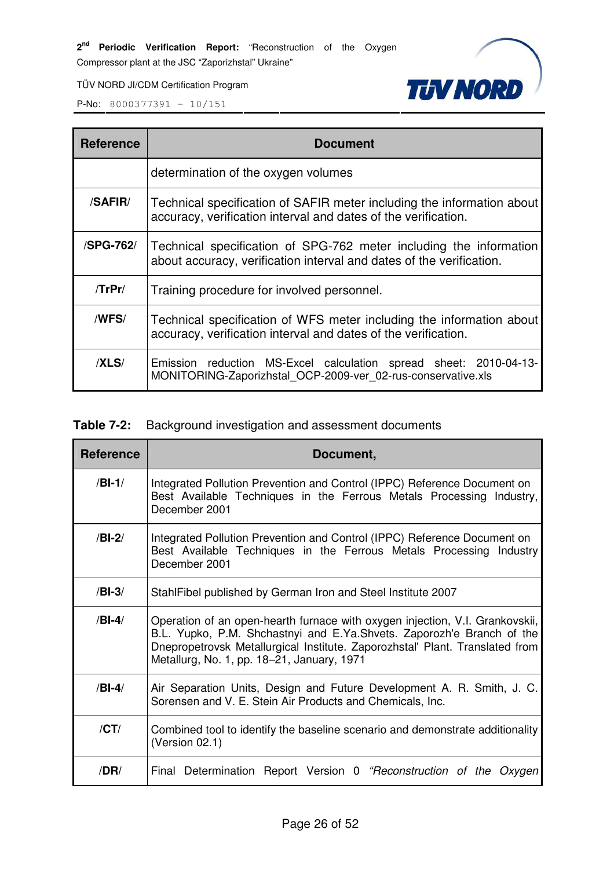**TUV NORD** 

TÜV NORD JI/CDM Certification Program

P-No: 8000377391 – 10/151

| <b>Reference</b> | <b>Document</b>                                                                                                                            |  |  |
|------------------|--------------------------------------------------------------------------------------------------------------------------------------------|--|--|
|                  | determination of the oxygen volumes                                                                                                        |  |  |
| /SAFIR/          | Technical specification of SAFIR meter including the information about<br>accuracy, verification interval and dates of the verification.   |  |  |
| <b>/SPG-762/</b> | Technical specification of SPG-762 meter including the information<br>about accuracy, verification interval and dates of the verification. |  |  |
| $T$ r $Pr/$      | Training procedure for involved personnel.                                                                                                 |  |  |
| /WFS/            | Technical specification of WFS meter including the information about<br>accuracy, verification interval and dates of the verification.     |  |  |
| /XLS/            | Emission reduction MS-Excel calculation spread sheet: 2010-04-13-<br>MONITORING-Zaporizhstal_OCP-2009-ver_02-rus-conservative.xls          |  |  |

# **Table 7-2:** Background investigation and assessment documents

| <b>Reference</b> | Document,                                                                                                                                                                                                                                                                           |  |  |  |  |
|------------------|-------------------------------------------------------------------------------------------------------------------------------------------------------------------------------------------------------------------------------------------------------------------------------------|--|--|--|--|
| $/BI-1/$         | Integrated Pollution Prevention and Control (IPPC) Reference Document on<br>Best Available Techniques in the Ferrous Metals Processing Industry,<br>December 2001                                                                                                                   |  |  |  |  |
| $/BI-2/$         | Integrated Pollution Prevention and Control (IPPC) Reference Document on<br>Best Available Techniques in the Ferrous Metals Processing Industry<br>December 2001                                                                                                                    |  |  |  |  |
| $/BI-3/$         | StahlFibel published by German Iron and Steel Institute 2007                                                                                                                                                                                                                        |  |  |  |  |
| $/BI-4/$         | Operation of an open-hearth furnace with oxygen injection, V.I. Grankovskii,<br>B.L. Yupko, P.M. Shchastnyi and E.Ya.Shvets. Zaporozh'e Branch of the<br>Dnepropetrovsk Metallurgical Institute. Zaporozhstal' Plant. Translated from<br>Metallurg, No. 1, pp. 18–21, January, 1971 |  |  |  |  |
| $/BI-4/$         | Air Separation Units, Design and Future Development A. R. Smith, J. C.<br>Sorensen and V. E. Stein Air Products and Chemicals, Inc.                                                                                                                                                 |  |  |  |  |
| /CT/             | Combined tool to identify the baseline scenario and demonstrate additionality<br>(Version 02.1)                                                                                                                                                                                     |  |  |  |  |
| /DR/             | Final Determination Report Version 0 "Reconstruction of the Oxygen                                                                                                                                                                                                                  |  |  |  |  |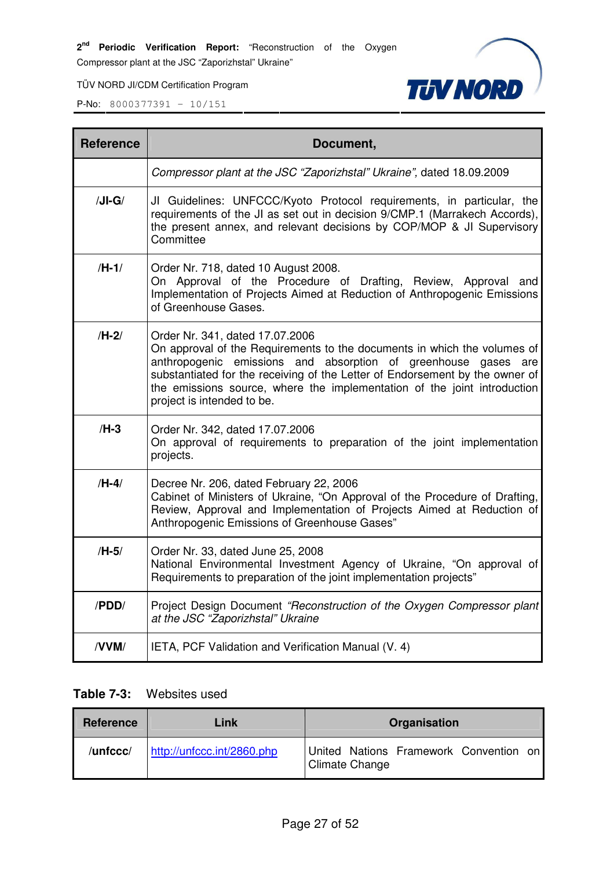TÜV NORD JI/CDM Certification Program

P-No: 8000377391 – 10/151



| <b>Reference</b> | Document,                                                                                                                                                                                                                                                                                                                                                               |
|------------------|-------------------------------------------------------------------------------------------------------------------------------------------------------------------------------------------------------------------------------------------------------------------------------------------------------------------------------------------------------------------------|
|                  | Compressor plant at the JSC "Zaporizhstal" Ukraine", dated 18.09.2009                                                                                                                                                                                                                                                                                                   |
| $/JI-G/$         | JI Guidelines: UNFCCC/Kyoto Protocol requirements, in particular, the<br>requirements of the JI as set out in decision 9/CMP.1 (Marrakech Accords),<br>the present annex, and relevant decisions by COP/MOP & JI Supervisory<br>Committee                                                                                                                               |
| $/H-1/$          | Order Nr. 718, dated 10 August 2008.<br>On Approval of the Procedure of Drafting, Review, Approval and<br>Implementation of Projects Aimed at Reduction of Anthropogenic Emissions<br>of Greenhouse Gases.                                                                                                                                                              |
| $/H-2/$          | Order Nr. 341, dated 17.07.2006<br>On approval of the Requirements to the documents in which the volumes of<br>anthropogenic emissions and absorption of greenhouse gases are<br>substantiated for the receiving of the Letter of Endorsement by the owner of<br>the emissions source, where the implementation of the joint introduction<br>project is intended to be. |
| $/H-3$           | Order Nr. 342, dated 17.07.2006<br>On approval of requirements to preparation of the joint implementation<br>projects.                                                                                                                                                                                                                                                  |
| $/H-4/$          | Decree Nr. 206, dated February 22, 2006<br>Cabinet of Ministers of Ukraine, "On Approval of the Procedure of Drafting,<br>Review, Approval and Implementation of Projects Aimed at Reduction of<br>Anthropogenic Emissions of Greenhouse Gases"                                                                                                                         |
| $/H-5/$          | Order Nr. 33, dated June 25, 2008<br>National Environmental Investment Agency of Ukraine, "On approval of<br>Requirements to preparation of the joint implementation projects"                                                                                                                                                                                          |
| /PDD/            | Project Design Document "Reconstruction of the Oxygen Compressor plant<br>at the JSC "Zaporizhstal" Ukraine                                                                                                                                                                                                                                                             |
| /VVM/            | IETA, PCF Validation and Verification Manual (V. 4)                                                                                                                                                                                                                                                                                                                     |

#### **Table 7-3:** Websites used

| Reference | Link                       | Organisation                                                    |
|-----------|----------------------------|-----------------------------------------------------------------|
| /unfccc/  | http://unfccc.int/2860.php | United Nations Framework Convention on<br><b>Climate Change</b> |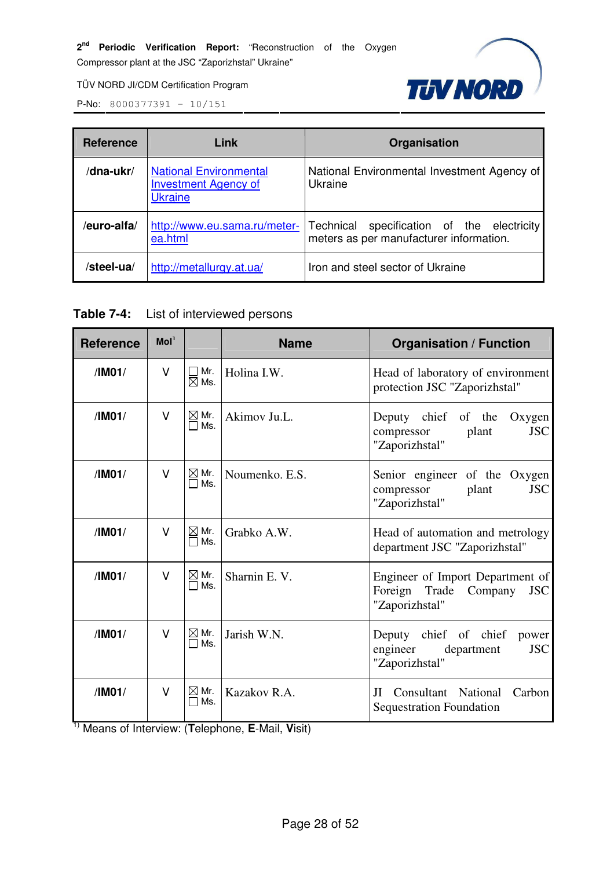

TÜV NORD JI/CDM Certification Program

P-No: 8000377391 – 10/151

| <b>Reference</b> | Link                                                                           | Organisation                                                                             |
|------------------|--------------------------------------------------------------------------------|------------------------------------------------------------------------------------------|
| /dna-ukr/        | <b>National Environmental</b><br><b>Investment Agency of</b><br><b>Ukraine</b> | National Environmental Investment Agency of<br>Ukraine                                   |
| /euro-alfa/      | http://www.eu.sama.ru/meter-<br>ea.html                                        | Technical<br>specification of the electricity<br>meters as per manufacturer information. |
| /steel-ua/       | http://metallurgy.at.ua/                                                       | Iron and steel sector of Ukraine                                                         |

#### **Table 7-4:** List of interviewed persons

| <b>Reference</b> | Mol <sup>1</sup> |                        | <b>Name</b>    | <b>Organisation / Function</b>                                                                  |
|------------------|------------------|------------------------|----------------|-------------------------------------------------------------------------------------------------|
| /IM01/           | V                | Mr.<br>$\boxtimes$ Ms. | Holina I.W.    | Head of laboratory of environment<br>protection JSC "Zaporizhstal"                              |
| /IM01/           | V                | $\boxtimes$ Mr.<br>Ms. | Akimov Ju.L.   | Deputy chief of the<br>Oxygen<br><b>JSC</b><br>plant<br>compressor<br>"Zaporizhstal"            |
| /IM01/           | $\vee$           | $\boxtimes$ Mr.<br>Ms. | Noumenko, E.S. | Senior engineer of the Oxygen<br><b>JSC</b><br>plant<br>compressor<br>"Zaporizhstal"            |
| /IM01/           | V                | $\boxtimes$ Mr.<br>Ms. | Grabko A.W.    | Head of automation and metrology<br>department JSC "Zaporizhstal"                               |
| /IM01/           | V                | $\boxtimes$ Mr.<br>Ms. | Sharnin E.V.   | Engineer of Import Department of<br>Foreign<br>Trade<br><b>JSC</b><br>Company<br>"Zaporizhstal" |
| /IM01/           | V                | $\boxtimes$ Mr.<br>Ms. | Jarish W.N.    | chief of chief<br>Deputy<br>power<br><b>JSC</b><br>engineer<br>department<br>"Zaporizhstal"     |
| /IM01/           | V                | $\boxtimes$ Mr.<br>Ms. | Kazakov R.A.   | JI Consultant National<br>Carbon<br><b>Sequestration Foundation</b>                             |

1) Means of Interview: (**T**elephone, **E**-Mail, **V**isit)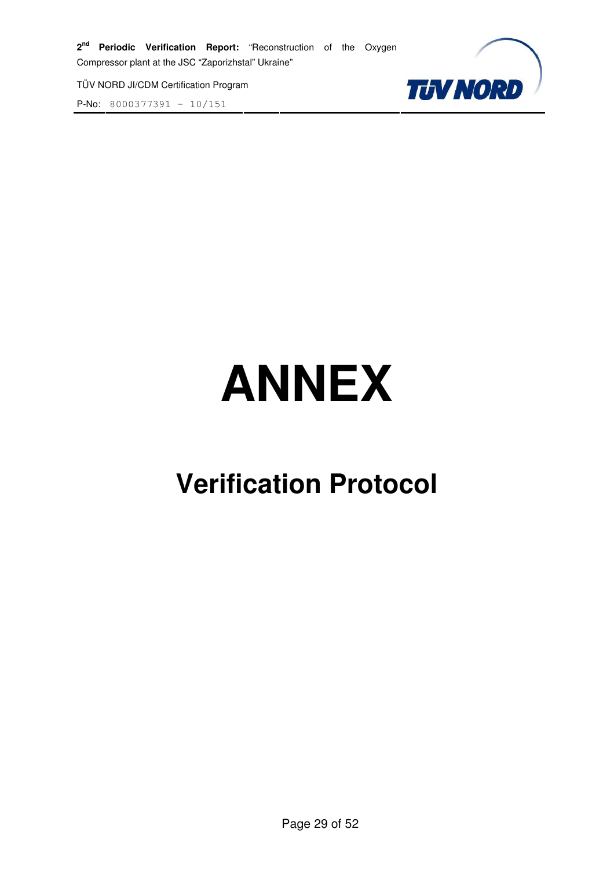**P-No:** 8000377391 -  $\frac{10}{151}$ 



# **ANNEX**

# **Verification Protocol**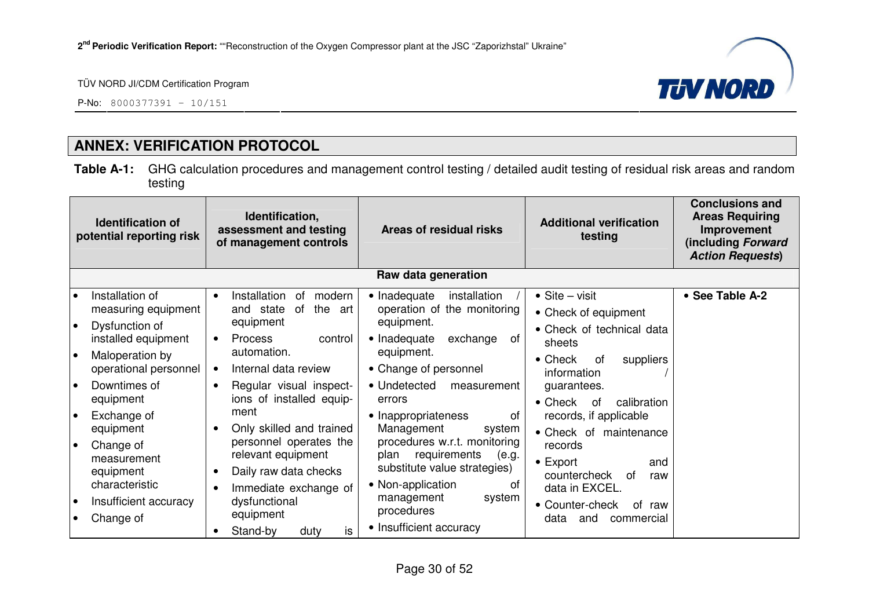

P-No: 8000377391 – 10/151

# **ANNEX: VERIFICATION PROTOCOL**

**Table A-1:** GHG calculation procedures and management control testing / detailed audit testing of residual risk areas and random testing

| Identification,<br><b>Identification of</b><br>assessment and testing<br>potential reporting risk<br>of management controls                                                                                                                                                                                                                      |                                                                                                                                                                                                                                                                                                                                                                                        | Areas of residual risks                                                                                                                                                                                                                                                                                                                                                                                            | <b>Additional verification</b><br>testing                                                                                                                                                                                                                                                                                                                                  | <b>Conclusions and</b><br><b>Areas Requiring</b><br>Improvement<br>(including Forward<br><b>Action Requests)</b> |
|--------------------------------------------------------------------------------------------------------------------------------------------------------------------------------------------------------------------------------------------------------------------------------------------------------------------------------------------------|----------------------------------------------------------------------------------------------------------------------------------------------------------------------------------------------------------------------------------------------------------------------------------------------------------------------------------------------------------------------------------------|--------------------------------------------------------------------------------------------------------------------------------------------------------------------------------------------------------------------------------------------------------------------------------------------------------------------------------------------------------------------------------------------------------------------|----------------------------------------------------------------------------------------------------------------------------------------------------------------------------------------------------------------------------------------------------------------------------------------------------------------------------------------------------------------------------|------------------------------------------------------------------------------------------------------------------|
|                                                                                                                                                                                                                                                                                                                                                  |                                                                                                                                                                                                                                                                                                                                                                                        | Raw data generation                                                                                                                                                                                                                                                                                                                                                                                                |                                                                                                                                                                                                                                                                                                                                                                            |                                                                                                                  |
| Installation of<br>$\bullet$<br>measuring equipment<br>Dysfunction of<br>$\bullet$<br>installed equipment<br>Maloperation by<br>١o<br>operational personnel<br>Downtimes of<br>$\bullet$<br>equipment<br>Exchange of<br>ه ا<br>equipment<br>Change of<br>$\bullet$<br>measurement<br>equipment<br>characteristic<br>Insufficient accuracy<br>∣ ● | Installation<br>of<br>modern<br>and state<br>of<br>the<br>art<br>equipment<br><b>Process</b><br>control<br>$\bullet$<br>automation.<br>Internal data review<br>Regular visual inspect-<br>ions of installed equip-<br>ment<br>Only skilled and trained<br>personnel operates the<br>relevant equipment<br>Daily raw data checks<br>Immediate exchange of<br>dysfunctional<br>equipment | • Inadequate<br>installation<br>operation of the monitoring<br>equipment.<br>• Inadequate<br>exchange<br>of<br>equipment.<br>• Change of personnel<br>• Undetected<br>measurement<br>errors<br>• Inappropriateness<br>of<br>Management<br>system<br>procedures w.r.t. monitoring<br>requirements<br>plan<br>(e.g.<br>substitute value strategies)<br>• Non-application<br>0f<br>management<br>system<br>procedures | $\bullet$ Site – visit<br>• Check of equipment<br>• Check of technical data<br>sheets<br>$\bullet$ Check<br>suppliers<br>0f<br>information<br>guarantees.<br>$\bullet$ Check<br>calibration<br>0f<br>records, if applicable<br>• Check of maintenance<br>records<br>$\bullet$ Export<br>and<br>countercheck<br>0f<br>raw<br>data in EXCEL.<br>• Counter-check<br>of<br>raw | • See Table A-2                                                                                                  |
| Change of                                                                                                                                                                                                                                                                                                                                        | is<br>Stand-by<br>duty                                                                                                                                                                                                                                                                                                                                                                 | • Insufficient accuracy                                                                                                                                                                                                                                                                                                                                                                                            | data<br>and<br>commercial                                                                                                                                                                                                                                                                                                                                                  |                                                                                                                  |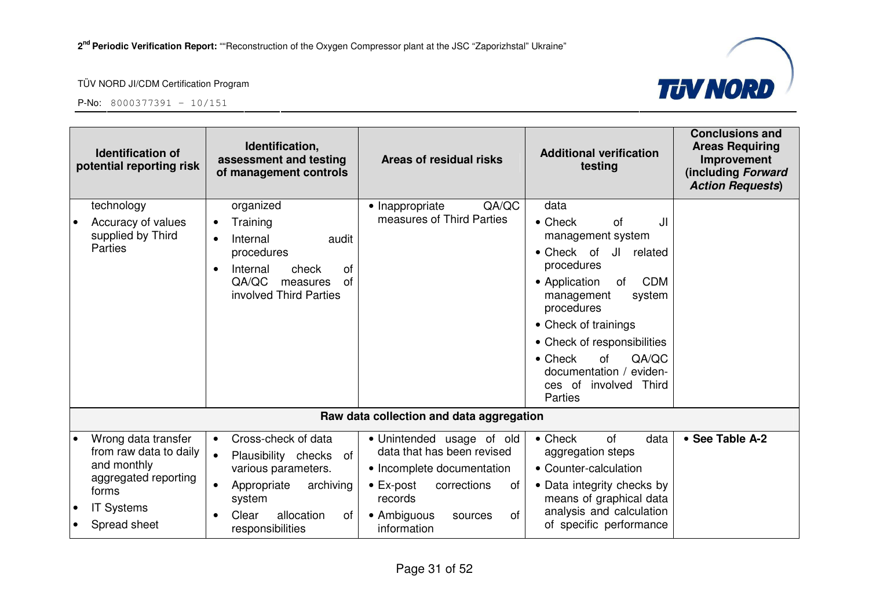



|           | <b>Identification of</b><br>potential reporting risk                                                                               | Identification,<br>assessment and testing<br>of management controls                                                                                                                   | Areas of residual risks                                                                                                                                                                   | <b>Additional verification</b><br>testing                                                                                                                                                                                                                                                         | <b>Conclusions and</b><br><b>Areas Requiring</b><br>Improvement<br>(including Forward<br><b>Action Requests)</b> |
|-----------|------------------------------------------------------------------------------------------------------------------------------------|---------------------------------------------------------------------------------------------------------------------------------------------------------------------------------------|-------------------------------------------------------------------------------------------------------------------------------------------------------------------------------------------|---------------------------------------------------------------------------------------------------------------------------------------------------------------------------------------------------------------------------------------------------------------------------------------------------|------------------------------------------------------------------------------------------------------------------|
|           | technology<br>Accuracy of values<br>supplied by Third<br>Parties                                                                   | organized<br>Training<br>$\bullet$<br>Internal<br>audit<br>procedures<br>Internal<br>check<br>οf<br>QA/QC<br><b>of</b><br>measures<br>involved Third Parties                          | QA/QC<br>• Inappropriate<br>measures of Third Parties                                                                                                                                     | data<br>$\bullet$ Check<br>JI<br>Ωf<br>management system<br>• Check of<br>JI related<br>procedures<br><b>CDM</b><br>• Application<br>of<br>management<br>system<br>procedures<br>• Check of trainings<br>• Check of responsibilities<br>QA/QC<br>$\bullet$ Check<br>of<br>documentation / eviden- |                                                                                                                  |
|           |                                                                                                                                    |                                                                                                                                                                                       |                                                                                                                                                                                           | ces of involved Third<br>Parties                                                                                                                                                                                                                                                                  |                                                                                                                  |
|           |                                                                                                                                    |                                                                                                                                                                                       | Raw data collection and data aggregation                                                                                                                                                  |                                                                                                                                                                                                                                                                                                   |                                                                                                                  |
| $\bullet$ | Wrong data transfer<br>from raw data to daily<br>and monthly<br>aggregated reporting<br>forms<br><b>IT Systems</b><br>Spread sheet | Cross-check of data<br>$\bullet$<br>Plausibility checks of<br>$\bullet$<br>various parameters.<br>archiving<br>Appropriate<br>system<br>Clear<br>allocation<br>οf<br>responsibilities | · Unintended usage of old<br>data that has been revised<br>• Incomplete documentation<br>$\bullet$ Ex-post<br>corrections<br>of<br>records<br>• Ambiguous<br>of<br>sources<br>information | $\bullet$ Check<br><b>of</b><br>data<br>aggregation steps<br>• Counter-calculation<br>• Data integrity checks by<br>means of graphical data<br>analysis and calculation<br>of specific performance                                                                                                | • See Table A-2                                                                                                  |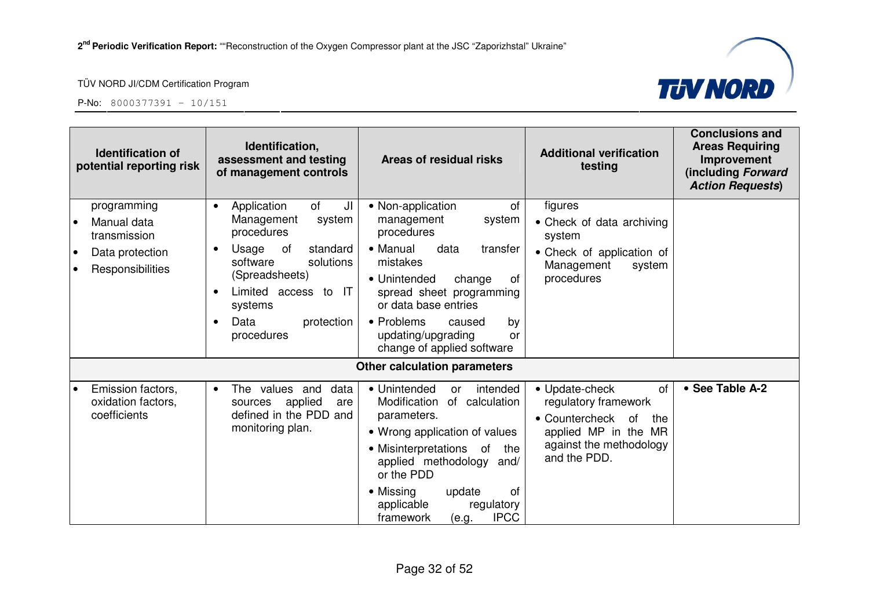



| <b>Identification of</b><br>potential reporting risk                                           | Identification,<br>assessment and testing<br>of management controls                                                                                                                                                                                            | Areas of residual risks                                                                                                                                                                                                                                                                              | <b>Additional verification</b><br>testing                                                                                                      | <b>Conclusions and</b><br><b>Areas Requiring</b><br>Improvement<br>(including Forward<br><b>Action Requests)</b> |
|------------------------------------------------------------------------------------------------|----------------------------------------------------------------------------------------------------------------------------------------------------------------------------------------------------------------------------------------------------------------|------------------------------------------------------------------------------------------------------------------------------------------------------------------------------------------------------------------------------------------------------------------------------------------------------|------------------------------------------------------------------------------------------------------------------------------------------------|------------------------------------------------------------------------------------------------------------------|
| programming<br>Manual data<br>transmission<br>Data protection<br>$\bullet$<br>Responsibilities | of<br>JI<br>Application<br>$\bullet$<br>Management<br>system<br>procedures<br>Usage<br>of<br>standard<br>$\bullet$<br>solutions<br>software<br>(Spreadsheets)<br>Limited access to IT<br>$\bullet$<br>systems<br>Data<br>protection<br>$\bullet$<br>procedures | of<br>• Non-application<br>management<br>system<br>procedures<br>• Manual<br>data<br>transfer<br>mistakes<br>• Unintended<br>change<br>0f<br>spread sheet programming<br>or data base entries<br>• Problems<br>caused<br>by<br>updating/upgrading<br>or<br>change of applied software                | figures<br>• Check of data archiving<br>system<br>• Check of application of<br>Management<br>system<br>procedures                              |                                                                                                                  |
|                                                                                                |                                                                                                                                                                                                                                                                | <b>Other calculation parameters</b>                                                                                                                                                                                                                                                                  |                                                                                                                                                |                                                                                                                  |
| Emission factors,<br>oxidation factors,<br>coefficients                                        | The values and<br>data<br>$\bullet$<br>applied<br>sources<br>are<br>defined in the PDD and<br>monitoring plan.                                                                                                                                                 | • Unintended<br>intended<br><b>or</b><br>Modification<br>of calculation<br>parameters.<br>• Wrong application of values<br>• Misinterpretations<br>of<br>the<br>applied methodology and/<br>or the PDD<br>of<br>• Missing<br>update<br>applicable<br>regulatory<br><b>IPCC</b><br>framework<br>(e.g. | • Update-check<br>of<br>regulatory framework<br>• Countercheck<br>of<br>the<br>applied MP in the MR<br>against the methodology<br>and the PDD. | • See Table A-2                                                                                                  |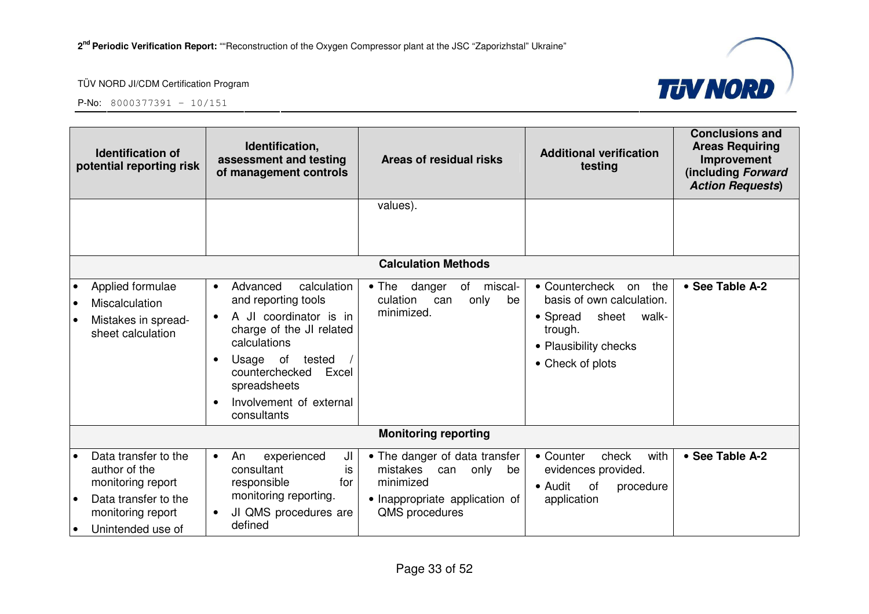

| <b>Identification of</b><br>potential reporting risk |                                                                                                                              | Identification,<br>assessment and testing<br>of management controls                                                                                                                                                                                 | Areas of residual risks                                                                                                         | <b>Additional verification</b><br>testing                                                                                                   | <b>Conclusions and</b><br><b>Areas Requiring</b><br>Improvement<br>(including Forward<br><b>Action Requests)</b> |
|------------------------------------------------------|------------------------------------------------------------------------------------------------------------------------------|-----------------------------------------------------------------------------------------------------------------------------------------------------------------------------------------------------------------------------------------------------|---------------------------------------------------------------------------------------------------------------------------------|---------------------------------------------------------------------------------------------------------------------------------------------|------------------------------------------------------------------------------------------------------------------|
|                                                      |                                                                                                                              |                                                                                                                                                                                                                                                     | values).                                                                                                                        |                                                                                                                                             |                                                                                                                  |
|                                                      |                                                                                                                              |                                                                                                                                                                                                                                                     |                                                                                                                                 |                                                                                                                                             |                                                                                                                  |
|                                                      |                                                                                                                              |                                                                                                                                                                                                                                                     | <b>Calculation Methods</b>                                                                                                      |                                                                                                                                             |                                                                                                                  |
| $\bullet$                                            | Applied formulae<br>Miscalculation<br>Mistakes in spread-<br>sheet calculation                                               | Advanced<br>calculation<br>$\bullet$<br>and reporting tools<br>A JI coordinator is in<br>$\bullet$<br>charge of the JI related<br>calculations<br>Usage of tested<br>counterchecked Excel<br>spreadsheets<br>Involvement of external<br>consultants | miscal-<br>• The danger<br>of<br>culation<br>only<br>can<br>be<br>minimized.                                                    | • Countercheck on<br>the<br>basis of own calculation.<br>• Spread<br>sheet<br>walk-<br>trough.<br>• Plausibility checks<br>• Check of plots | • See Table A-2                                                                                                  |
|                                                      |                                                                                                                              |                                                                                                                                                                                                                                                     | <b>Monitoring reporting</b>                                                                                                     |                                                                                                                                             |                                                                                                                  |
|                                                      | Data transfer to the<br>author of the<br>monitoring report<br>Data transfer to the<br>monitoring report<br>Unintended use of | experienced<br>JI<br>An<br>$\bullet$<br>consultant<br>is<br>responsible<br>for<br>monitoring reporting.<br>JI QMS procedures are<br>$\bullet$<br>defined                                                                                            | • The danger of data transfer<br>mistakes<br>only<br>can<br>be<br>minimized<br>• Inappropriate application of<br>QMS procedures | with<br>• Counter<br>check<br>evidences provided.<br>• Audit<br>of<br>procedure<br>application                                              | • See Table A-2                                                                                                  |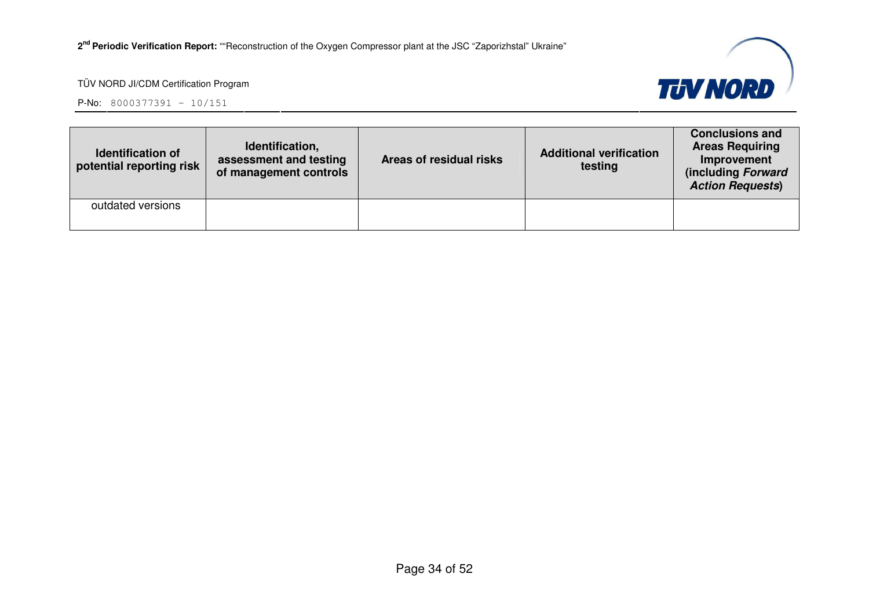

| <b>Identification of</b><br>potential reporting risk | Identification,<br>assessment and testing<br>of management controls | Areas of residual risks | <b>Additional verification</b><br>testing | <b>Conclusions and</b><br><b>Areas Requiring</b><br>Improvement<br>(including Forward<br><b>Action Requests)</b> |
|------------------------------------------------------|---------------------------------------------------------------------|-------------------------|-------------------------------------------|------------------------------------------------------------------------------------------------------------------|
| outdated versions                                    |                                                                     |                         |                                           |                                                                                                                  |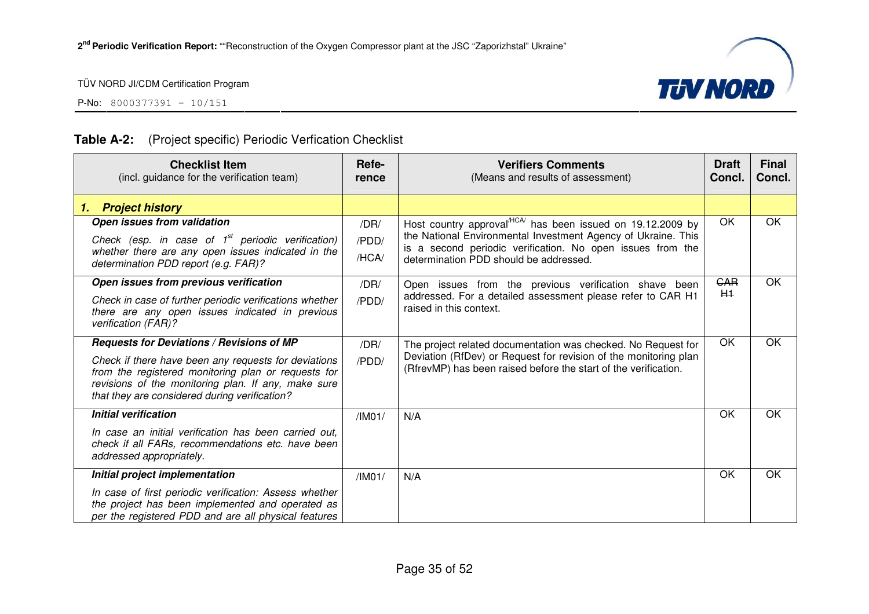





#### **Table A-2:** (Project specific) Periodic Verfication Checklist

| <b>Checklist Item</b><br>(incl. guidance for the verification team)                                                                                                                                                                                              | Refe-<br>rence         | <b>Verifiers Comments</b><br>(Means and results of assessment)                                                                                                                                                                        | <b>Draft</b><br>Concl. | <b>Final</b><br>Concl. |
|------------------------------------------------------------------------------------------------------------------------------------------------------------------------------------------------------------------------------------------------------------------|------------------------|---------------------------------------------------------------------------------------------------------------------------------------------------------------------------------------------------------------------------------------|------------------------|------------------------|
| <b>Project history</b><br>1.                                                                                                                                                                                                                                     |                        |                                                                                                                                                                                                                                       |                        |                        |
| Open issues from validation<br>Check (esp. in case of $1st$ periodic verification)<br>whether there are any open issues indicated in the<br>determination PDD report (e.g. FAR)?                                                                                 | /DR/<br>/PDD/<br>/HCA/ | Host country approval $HCA$ has been issued on 19.12.2009 by<br>the National Environmental Investment Agency of Ukraine. This<br>is a second periodic verification. No open issues from the<br>determination PDD should be addressed. | OK                     | OK                     |
| Open issues from previous verification<br>Check in case of further periodic verifications whether<br>there are any open issues indicated in previous<br>verification (FAR)?                                                                                      | /DR/<br>/PDD/          | Open issues from the previous verification shave been<br>addressed. For a detailed assessment please refer to CAR H1<br>raised in this context.                                                                                       | <b>GAR</b><br>$H+$     | OK                     |
| Requests for Deviations / Revisions of MP<br>Check if there have been any requests for deviations<br>from the registered monitoring plan or requests for<br>revisions of the monitoring plan. If any, make sure<br>that they are considered during verification? | /DR/<br>/PDD/          | The project related documentation was checked. No Request for<br>Deviation (RfDev) or Request for revision of the monitoring plan<br>(RfrevMP) has been raised before the start of the verification.                                  | OK                     | OK                     |
| <b>Initial verification</b><br>In case an initial verification has been carried out.<br>check if all FARs, recommendations etc. have been<br>addressed appropriately.                                                                                            | /IM01/                 | N/A                                                                                                                                                                                                                                   | OK                     | OK                     |
| Initial project implementation<br>In case of first periodic verification: Assess whether<br>the project has been implemented and operated as<br>per the registered PDD and are all physical features                                                             | /IMO1/                 | N/A                                                                                                                                                                                                                                   | OK                     | OK                     |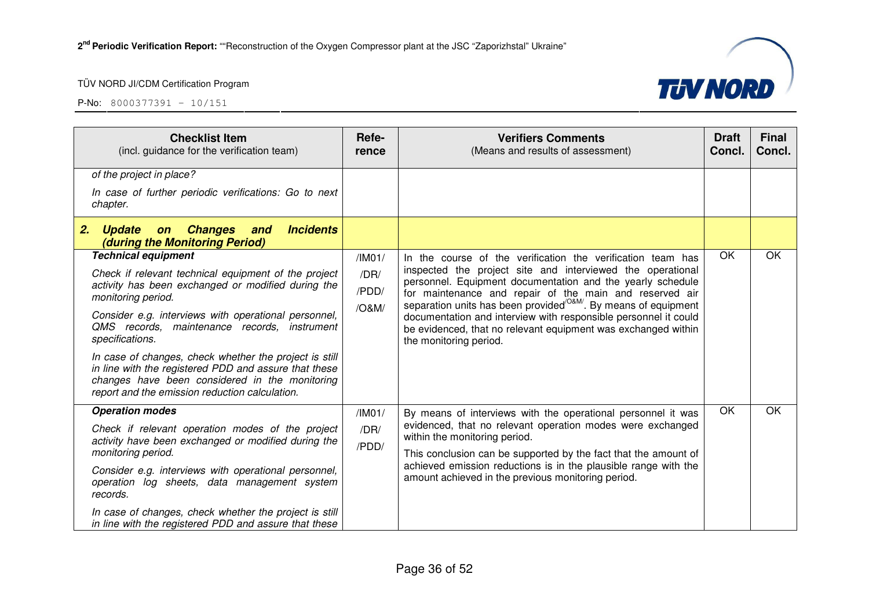

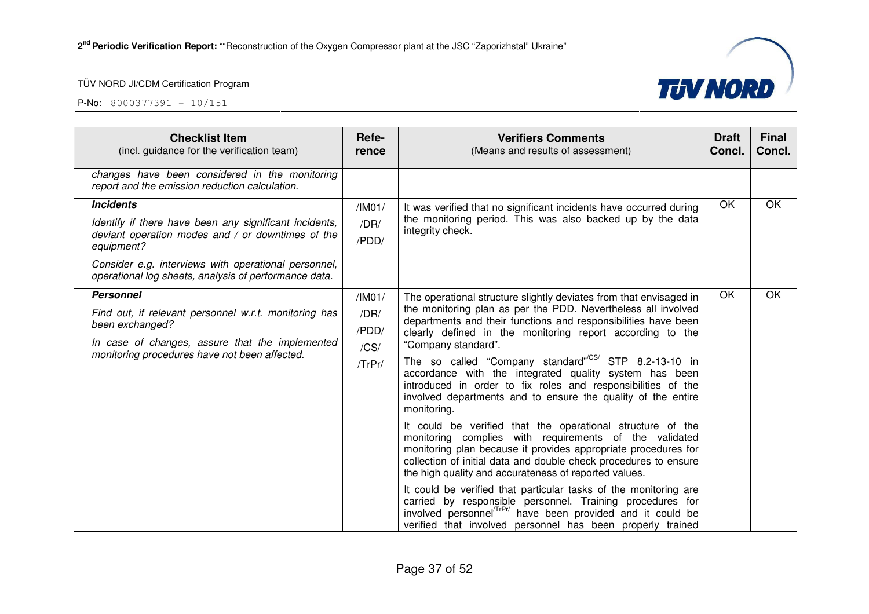

| <b>Checklist Item</b><br>(incl. guidance for the verification team)                                                                                                                                                                                            | Refe-<br>rence                            | <b>Verifiers Comments</b><br>(Means and results of assessment)                                                                                                                                                                                                                                                                                                                                                                                                                                                                                                                                                                                                                                                                                                                                                                                                                                                                                                                                                                                                                                                                                                          | <b>Draft</b><br>Concl. | <b>Final</b><br>Concl. |
|----------------------------------------------------------------------------------------------------------------------------------------------------------------------------------------------------------------------------------------------------------------|-------------------------------------------|-------------------------------------------------------------------------------------------------------------------------------------------------------------------------------------------------------------------------------------------------------------------------------------------------------------------------------------------------------------------------------------------------------------------------------------------------------------------------------------------------------------------------------------------------------------------------------------------------------------------------------------------------------------------------------------------------------------------------------------------------------------------------------------------------------------------------------------------------------------------------------------------------------------------------------------------------------------------------------------------------------------------------------------------------------------------------------------------------------------------------------------------------------------------------|------------------------|------------------------|
| changes have been considered in the monitoring<br>report and the emission reduction calculation.                                                                                                                                                               |                                           |                                                                                                                                                                                                                                                                                                                                                                                                                                                                                                                                                                                                                                                                                                                                                                                                                                                                                                                                                                                                                                                                                                                                                                         |                        |                        |
| <b>Incidents</b><br>Identify if there have been any significant incidents,<br>deviant operation modes and / or downtimes of the<br>equipment?<br>Consider e.g. interviews with operational personnel,<br>operational log sheets, analysis of performance data. | /IMO1/<br>/DR/<br>/PDD/                   | It was verified that no significant incidents have occurred during<br>the monitoring period. This was also backed up by the data<br>integrity check.                                                                                                                                                                                                                                                                                                                                                                                                                                                                                                                                                                                                                                                                                                                                                                                                                                                                                                                                                                                                                    | OK                     | OK                     |
| <b>Personnel</b><br>Find out, if relevant personnel w.r.t. monitoring has<br>been exchanged?<br>In case of changes, assure that the implemented<br>monitoring procedures have not been affected.                                                               | /IMO1/<br>/DR/<br>/PDD/<br>/CS/<br>/TrPr/ | The operational structure slightly deviates from that envisaged in<br>the monitoring plan as per the PDD. Nevertheless all involved<br>departments and their functions and responsibilities have been<br>clearly defined in the monitoring report according to the<br>"Company standard".<br>The so called "Company standard" <sup>CS/</sup> STP 8.2-13-10 in<br>accordance with the integrated quality system has been<br>introduced in order to fix roles and responsibilities of the<br>involved departments and to ensure the quality of the entire<br>monitoring.<br>It could be verified that the operational structure of the<br>monitoring complies with requirements of the validated<br>monitoring plan because it provides appropriate procedures for<br>collection of initial data and double check procedures to ensure<br>the high quality and accurateness of reported values.<br>It could be verified that particular tasks of the monitoring are<br>carried by responsible personnel. Training procedures for<br>involved personnel <sup>(TrPr/</sup> have been provided and it could be<br>verified that involved personnel has been properly trained | OK                     | OK                     |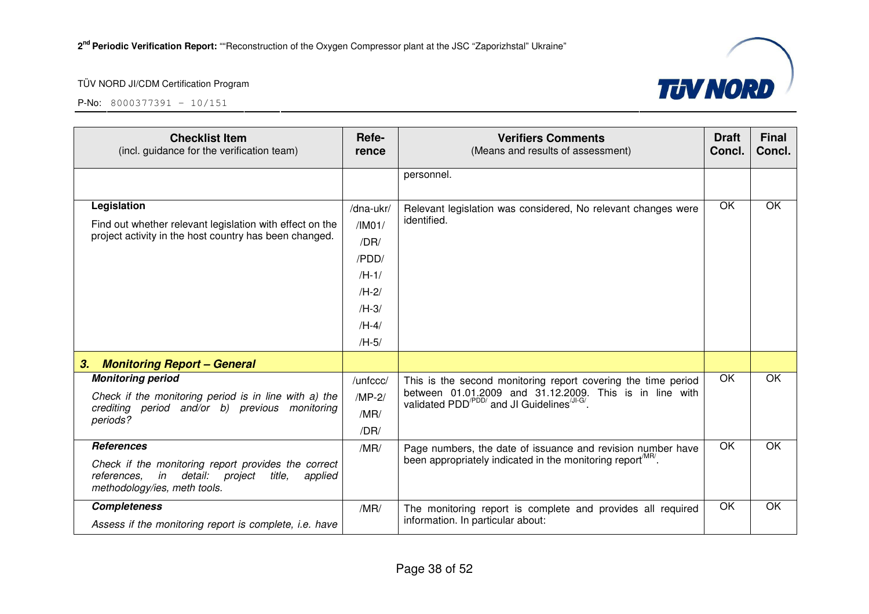

| <b>Checklist Item</b><br>(incl. guidance for the verification team)                                                                                                | Refe-<br>rence                                                                              | <b>Verifiers Comments</b><br>(Means and results of assessment)                                                                                                                                | <b>Draft</b><br>Concl. | <b>Final</b><br>Concl. |
|--------------------------------------------------------------------------------------------------------------------------------------------------------------------|---------------------------------------------------------------------------------------------|-----------------------------------------------------------------------------------------------------------------------------------------------------------------------------------------------|------------------------|------------------------|
|                                                                                                                                                                    |                                                                                             | personnel.                                                                                                                                                                                    |                        |                        |
| Legislation<br>Find out whether relevant legislation with effect on the<br>project activity in the host country has been changed.                                  | /dna-ukr/<br>/IMO1/<br>/DR/<br>/PDD/<br>$/H-1/$<br>$/H-2/$<br>$/H-3/$<br>$/H-4/$<br>$/H-5/$ | Relevant legislation was considered, No relevant changes were<br>identified.                                                                                                                  | OK                     | OK                     |
| <b>Monitoring Report - General</b><br>3.                                                                                                                           |                                                                                             |                                                                                                                                                                                               |                        |                        |
| <b>Monitoring period</b><br>Check if the monitoring period is in line with a) the<br>crediting period and/or b) previous monitoring<br>periods?                    | /unfccc/<br>$/MP-2/$<br>/MR/<br>/DR/                                                        | This is the second monitoring report covering the time period<br>between 01.01.2009 and 31.12.2009. This is in line with validated PDD <sup>/PDD/</sup> and JI Guidelines <sup>(JI-G/</sup> . | OK                     | OK                     |
| <b>References</b><br>Check if the monitoring report provides the correct<br>references.<br>in detail: project<br>title,<br>applied<br>methodology/ies, meth tools. | /MR/                                                                                        | Page numbers, the date of issuance and revision number have<br>been appropriately indicated in the monitoring report <sup>MR/</sup> .                                                         | OK                     | OK                     |
| <b>Completeness</b><br>Assess if the monitoring report is complete, i.e. have                                                                                      | /MR/                                                                                        | The monitoring report is complete and provides all required<br>information. In particular about:                                                                                              | $\overline{OK}$        | $\overline{OK}$        |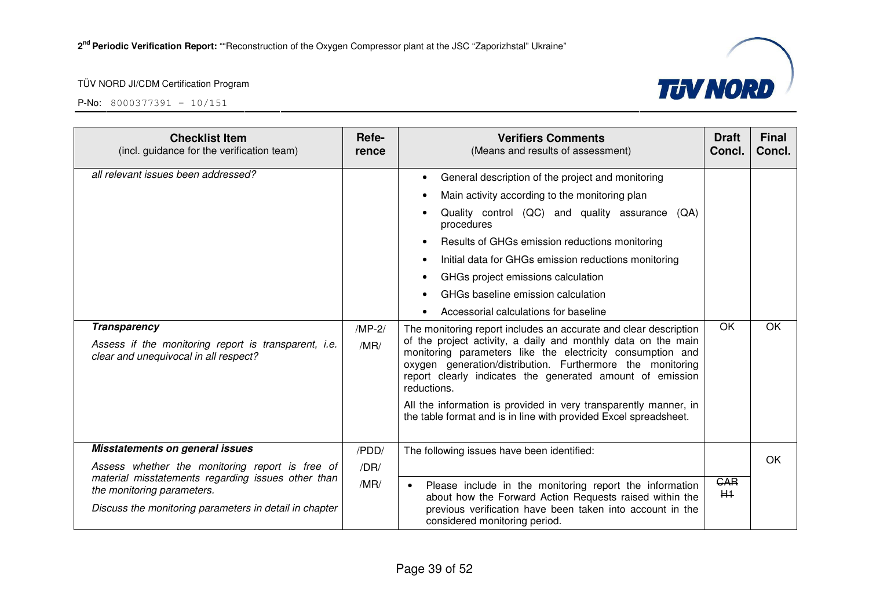



| <b>Checklist Item</b><br>(incl. guidance for the verification team)                                                                                                                                                              | Refe-<br>rence        | <b>Verifiers Comments</b><br>(Means and results of assessment)                                                                                                                                                                                                                                                                                                                                                                                                                                                                                                                                                                                                                                                                                                                                                                                                                           | <b>Draft</b><br>Concl. | <b>Final</b><br>Concl. |
|----------------------------------------------------------------------------------------------------------------------------------------------------------------------------------------------------------------------------------|-----------------------|------------------------------------------------------------------------------------------------------------------------------------------------------------------------------------------------------------------------------------------------------------------------------------------------------------------------------------------------------------------------------------------------------------------------------------------------------------------------------------------------------------------------------------------------------------------------------------------------------------------------------------------------------------------------------------------------------------------------------------------------------------------------------------------------------------------------------------------------------------------------------------------|------------------------|------------------------|
| all relevant issues been addressed?<br><b>Transparency</b><br>Assess if the monitoring report is transparent, i.e.<br>clear and unequivocal in all respect?                                                                      | $/MP-2/$<br>/MR/      | General description of the project and monitoring<br>Main activity according to the monitoring plan<br>Quality control (QC) and quality assurance (QA)<br>procedures<br>Results of GHGs emission reductions monitoring<br>Initial data for GHGs emission reductions monitoring<br>GHGs project emissions calculation<br>GHGs baseline emission calculation<br>Accessorial calculations for baseline<br>The monitoring report includes an accurate and clear description<br>of the project activity, a daily and monthly data on the main<br>monitoring parameters like the electricity consumption and<br>oxygen generation/distribution. Furthermore the monitoring<br>report clearly indicates the generated amount of emission<br>reductions.<br>All the information is provided in very transparently manner, in<br>the table format and is in line with provided Excel spreadsheet. | <b>OK</b>              | OK                     |
| Misstatements on general issues<br>Assess whether the monitoring report is free of<br>material misstatements regarding issues other than<br>the monitoring parameters.<br>Discuss the monitoring parameters in detail in chapter | /PDD/<br>/DR/<br>/MR/ | The following issues have been identified:<br>Please include in the monitoring report the information<br>$\bullet$<br>about how the Forward Action Requests raised within the<br>previous verification have been taken into account in the<br>considered monitoring period.                                                                                                                                                                                                                                                                                                                                                                                                                                                                                                                                                                                                              | <b>GAR</b><br>$H+$     | OK                     |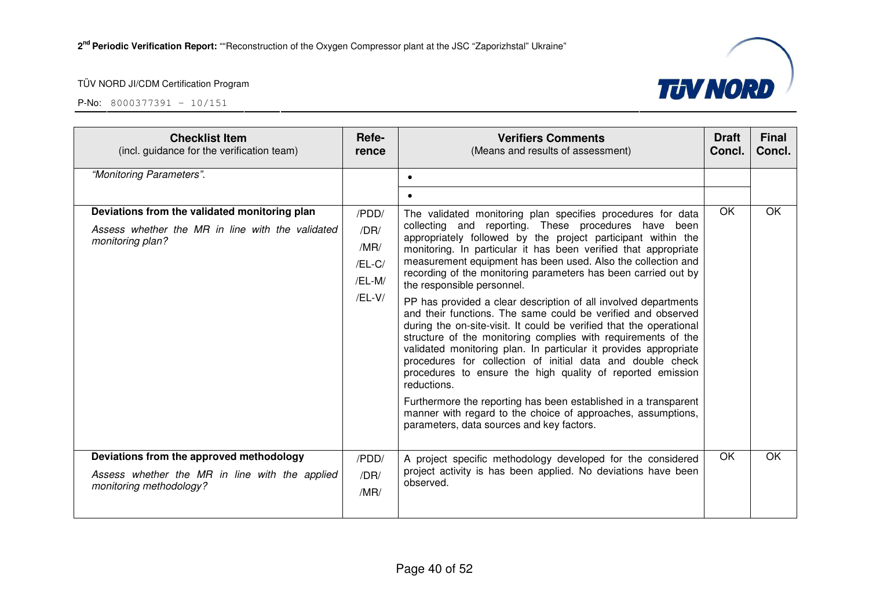



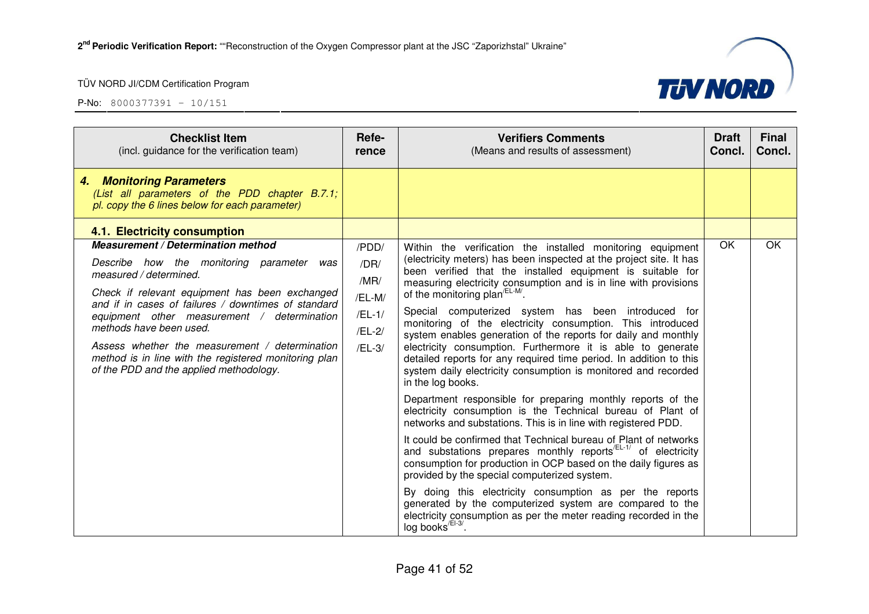

| <b>Checklist Item</b><br>(incl. guidance for the verification team)                                                                                                                                                                                                                                                                                                                                                                                | Refe-<br>rence                                                    | <b>Verifiers Comments</b><br>(Means and results of assessment)                                                                                                                                                                                                                                                                                                                                                                                                                                                                                                                                                                                                                                                                                                                                                                                                                                                                                                                                                                                                                                                                                                                                                                                                                                                                                                                                                                                    | <b>Draft</b><br>Concl. | <b>Final</b><br>Concl. |
|----------------------------------------------------------------------------------------------------------------------------------------------------------------------------------------------------------------------------------------------------------------------------------------------------------------------------------------------------------------------------------------------------------------------------------------------------|-------------------------------------------------------------------|---------------------------------------------------------------------------------------------------------------------------------------------------------------------------------------------------------------------------------------------------------------------------------------------------------------------------------------------------------------------------------------------------------------------------------------------------------------------------------------------------------------------------------------------------------------------------------------------------------------------------------------------------------------------------------------------------------------------------------------------------------------------------------------------------------------------------------------------------------------------------------------------------------------------------------------------------------------------------------------------------------------------------------------------------------------------------------------------------------------------------------------------------------------------------------------------------------------------------------------------------------------------------------------------------------------------------------------------------------------------------------------------------------------------------------------------------|------------------------|------------------------|
| 4. Monitoring Parameters<br>(List all parameters of the PDD chapter B.7.1;<br>pl. copy the 6 lines below for each parameter)                                                                                                                                                                                                                                                                                                                       |                                                                   |                                                                                                                                                                                                                                                                                                                                                                                                                                                                                                                                                                                                                                                                                                                                                                                                                                                                                                                                                                                                                                                                                                                                                                                                                                                                                                                                                                                                                                                   |                        |                        |
| 4.1. Electricity consumption                                                                                                                                                                                                                                                                                                                                                                                                                       |                                                                   |                                                                                                                                                                                                                                                                                                                                                                                                                                                                                                                                                                                                                                                                                                                                                                                                                                                                                                                                                                                                                                                                                                                                                                                                                                                                                                                                                                                                                                                   |                        |                        |
| Measurement / Determination method<br>Describe how the monitoring parameter was<br>measured / determined.<br>Check if relevant equipment has been exchanged<br>and if in cases of failures / downtimes of standard<br>equipment other measurement / determination<br>methods have been used.<br>Assess whether the measurement / determination<br>method is in line with the registered monitoring plan<br>of the PDD and the applied methodology. | /PDD/<br>/DR/<br>/MR/<br>/EL-M/<br>$/EL-1/$<br>/EL-2/<br>$/EL-3/$ | Within the verification the installed monitoring equipment<br>(electricity meters) has been inspected at the project site. It has<br>been verified that the installed equipment is suitable for<br>measuring electricity consumption and is in line with provisions<br>of the monitoring plan <sup><math>/EL-M</math></sup> .<br>Special computerized system has been introduced for<br>monitoring of the electricity consumption. This introduced<br>system enables generation of the reports for daily and monthly<br>electricity consumption. Furthermore it is able to generate<br>detailed reports for any required time period. In addition to this<br>system daily electricity consumption is monitored and recorded<br>in the log books.<br>Department responsible for preparing monthly reports of the<br>electricity consumption is the Technical bureau of Plant of<br>networks and substations. This is in line with registered PDD.<br>It could be confirmed that Technical bureau of Plant of networks<br>and substations prepares monthly reports <sup>/EL-1/</sup> of electricity<br>consumption for production in OCP based on the daily figures as<br>provided by the special computerized system.<br>By doing this electricity consumption as per the reports<br>generated by the computerized system are compared to the<br>electricity consumption as per the meter reading recorded in the<br>log books <sup>/EI-3/</sup> . | OK.                    | OK                     |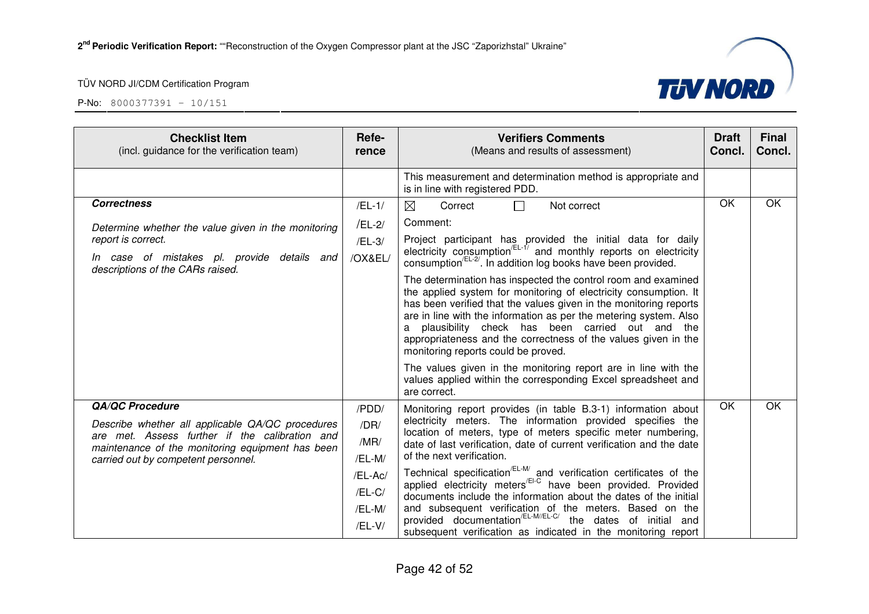

| <b>Checklist Item</b><br>(incl. guidance for the verification team)                                | Refe-<br>rence | <b>Verifiers Comments</b><br>(Means and results of assessment)                                                                                                                                                                                                                                                                                                                                                                               | <b>Draft</b><br>Concl. | <b>Final</b><br>Concl. |
|----------------------------------------------------------------------------------------------------|----------------|----------------------------------------------------------------------------------------------------------------------------------------------------------------------------------------------------------------------------------------------------------------------------------------------------------------------------------------------------------------------------------------------------------------------------------------------|------------------------|------------------------|
|                                                                                                    |                | This measurement and determination method is appropriate and<br>is in line with registered PDD.                                                                                                                                                                                                                                                                                                                                              |                        |                        |
| <b>Correctness</b>                                                                                 | $/EL-1/$       | ⊠<br>Not correct<br>Correct<br>П                                                                                                                                                                                                                                                                                                                                                                                                             | <b>OK</b>              | OK                     |
| Determine whether the value given in the monitoring                                                | /EL-2/         | Comment:                                                                                                                                                                                                                                                                                                                                                                                                                                     |                        |                        |
| report is correct.                                                                                 | $/EL-3/$       | Project participant has provided the initial data for daily                                                                                                                                                                                                                                                                                                                                                                                  |                        |                        |
| In case of mistakes pl. provide details and<br>descriptions of the CARs raised.                    | /OX&EL/        | electricity consumption <sup>/EL-1/</sup> and monthly reports on electricity<br>consumption <sup>/EL-2/</sup> . In addition log books have been provided.                                                                                                                                                                                                                                                                                    |                        |                        |
|                                                                                                    |                | The determination has inspected the control room and examined<br>the applied system for monitoring of electricity consumption. It<br>has been verified that the values given in the monitoring reports<br>are in line with the information as per the metering system. Also<br>plausibility check has been carried out and the<br>a<br>appropriateness and the correctness of the values given in the<br>monitoring reports could be proved. |                        |                        |
|                                                                                                    |                | The values given in the monitoring report are in line with the<br>values applied within the corresponding Excel spreadsheet and<br>are correct.                                                                                                                                                                                                                                                                                              |                        |                        |
| <b>QA/QC Procedure</b>                                                                             | /PDD/          | Monitoring report provides (in table B.3-1) information about                                                                                                                                                                                                                                                                                                                                                                                | OK                     | OK                     |
| Describe whether all applicable QA/QC procedures                                                   | /DR/           | electricity meters. The information provided specifies the<br>location of meters, type of meters specific meter numbering,                                                                                                                                                                                                                                                                                                                   |                        |                        |
| are met. Assess further if the calibration and<br>maintenance of the monitoring equipment has been | /MR/           | date of last verification, date of current verification and the date                                                                                                                                                                                                                                                                                                                                                                         |                        |                        |
| carried out by competent personnel.                                                                | /EL-M/         | of the next verification.                                                                                                                                                                                                                                                                                                                                                                                                                    |                        |                        |
|                                                                                                    | /EL-Ac/        | Technical specification <sup>/EL-M/</sup> and verification certificates of the applied electricity meters <sup>/El-C</sup> have been provided. Provided                                                                                                                                                                                                                                                                                      |                        |                        |
|                                                                                                    | /EL-C/         | documents include the information about the dates of the initial                                                                                                                                                                                                                                                                                                                                                                             |                        |                        |
|                                                                                                    | /EL-M/         | and subsequent verification of the meters. Based on the<br>provided documentation <sup>/EL-M//EL-C/</sup> the dates of initial and                                                                                                                                                                                                                                                                                                           |                        |                        |
|                                                                                                    | /EL-V/         | subsequent verification as indicated in the monitoring report                                                                                                                                                                                                                                                                                                                                                                                |                        |                        |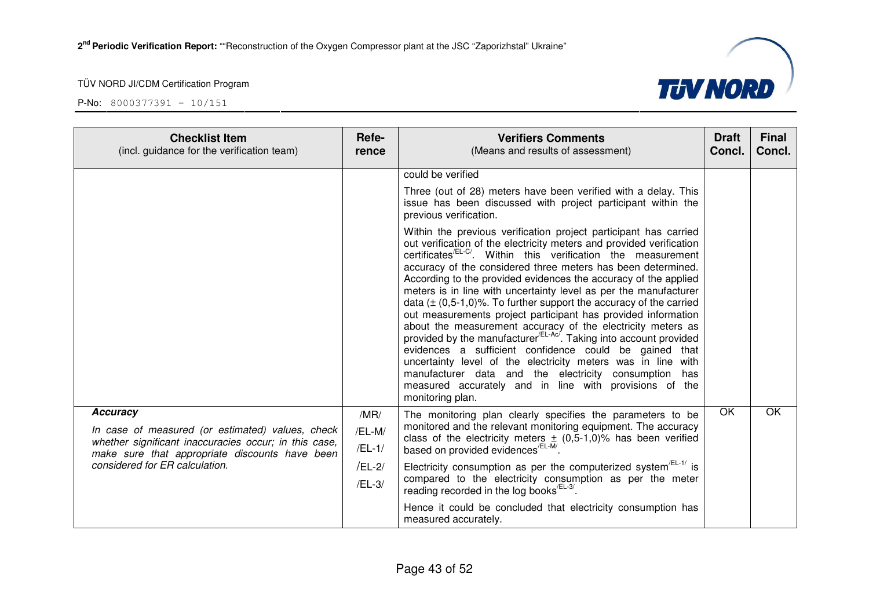P-No: 8000377391 – 10/151



**TUV NORD**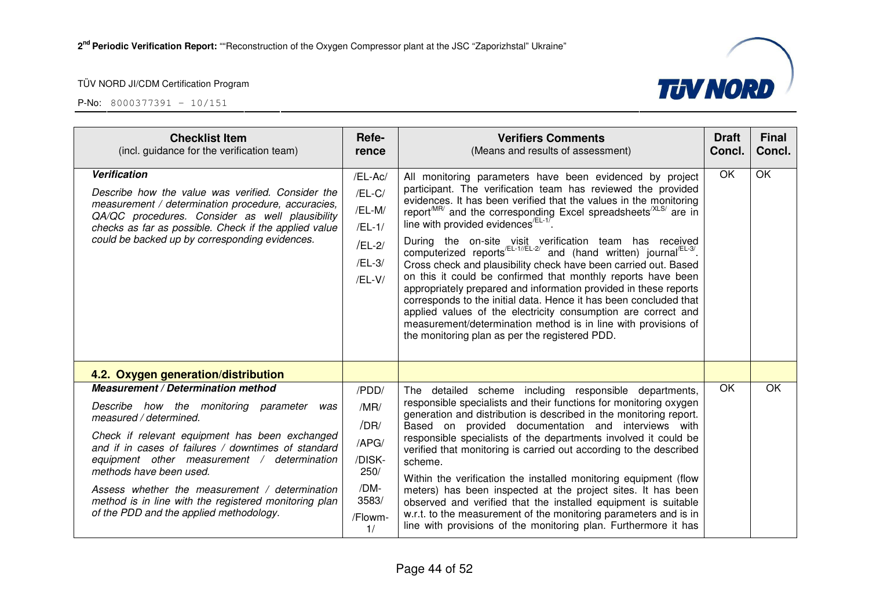

| <b>Checklist Item</b><br>(incl. guidance for the verification team)                                                                                                                                                                                                                                                                                                                                                                                          | Refe-<br>rence                                                                           | <b>Verifiers Comments</b><br>(Means and results of assessment)                                                                                                                                                                                                                                                                                                                                                                                                                                                                                                                                                                                                                                                                                                                                                                                                                                                                                                      | <b>Draft</b><br>Concl. | <b>Final</b><br>Concl. |
|--------------------------------------------------------------------------------------------------------------------------------------------------------------------------------------------------------------------------------------------------------------------------------------------------------------------------------------------------------------------------------------------------------------------------------------------------------------|------------------------------------------------------------------------------------------|---------------------------------------------------------------------------------------------------------------------------------------------------------------------------------------------------------------------------------------------------------------------------------------------------------------------------------------------------------------------------------------------------------------------------------------------------------------------------------------------------------------------------------------------------------------------------------------------------------------------------------------------------------------------------------------------------------------------------------------------------------------------------------------------------------------------------------------------------------------------------------------------------------------------------------------------------------------------|------------------------|------------------------|
| <b>Verification</b><br>Describe how the value was verified. Consider the<br>measurement / determination procedure, accuracies,<br>QA/QC procedures. Consider as well plausibility<br>checks as far as possible. Check if the applied value<br>could be backed up by corresponding evidences.                                                                                                                                                                 | /EL-Ac/<br>$/EL-C/$<br>/EL-M/<br>$/EL-1/$<br>/EL-2/<br>/EL-3/<br>$/EL-V/$                | All monitoring parameters have been evidenced by project<br>participant. The verification team has reviewed the provided<br>evidences. It has been verified that the values in the monitoring<br>report <sup>MR/</sup> and the corresponding Excel spreadsheets <sup>/XLS/</sup> are in<br>line with provided evidences <sup>/EL-1/</sup><br>During the on-site visit verification team has received computerized reports $E_{L-1}/E_{L-2}/E_{L-2}$ and (hand written) journal $E_{L-3}/E_{L-3}$ .<br>Cross check and plausibility check have been carried out. Based<br>on this it could be confirmed that monthly reports have been<br>appropriately prepared and information provided in these reports<br>corresponds to the initial data. Hence it has been concluded that<br>applied values of the electricity consumption are correct and<br>measurement/determination method is in line with provisions of<br>the monitoring plan as per the registered PDD. | OK                     | OK                     |
| 4.2. Oxygen generation/distribution                                                                                                                                                                                                                                                                                                                                                                                                                          |                                                                                          |                                                                                                                                                                                                                                                                                                                                                                                                                                                                                                                                                                                                                                                                                                                                                                                                                                                                                                                                                                     |                        |                        |
| <b>Measurement / Determination method</b><br>Describe how the monitoring parameter<br>was<br>measured / determined.<br>Check if relevant equipment has been exchanged<br>and if in cases of failures / downtimes of standard<br>equipment other measurement / determination<br>methods have been used.<br>Assess whether the measurement / determination<br>method is in line with the registered monitoring plan<br>of the PDD and the applied methodology. | /PDD/<br>/MR/<br>/DR/<br>$/$ APG $/$<br>/DISK-<br>250/<br>/DM-<br>3583/<br>/Flowm-<br>1/ | The detailed scheme including responsible departments,<br>responsible specialists and their functions for monitoring oxygen<br>generation and distribution is described in the monitoring report.<br>Based on provided documentation and interviews with<br>responsible specialists of the departments involved it could be<br>verified that monitoring is carried out according to the described<br>scheme.<br>Within the verification the installed monitoring equipment (flow<br>meters) has been inspected at the project sites. It has been<br>observed and verified that the installed equipment is suitable<br>w.r.t. to the measurement of the monitoring parameters and is in<br>line with provisions of the monitoring plan. Furthermore it has                                                                                                                                                                                                           | <b>OK</b>              | <b>OK</b>              |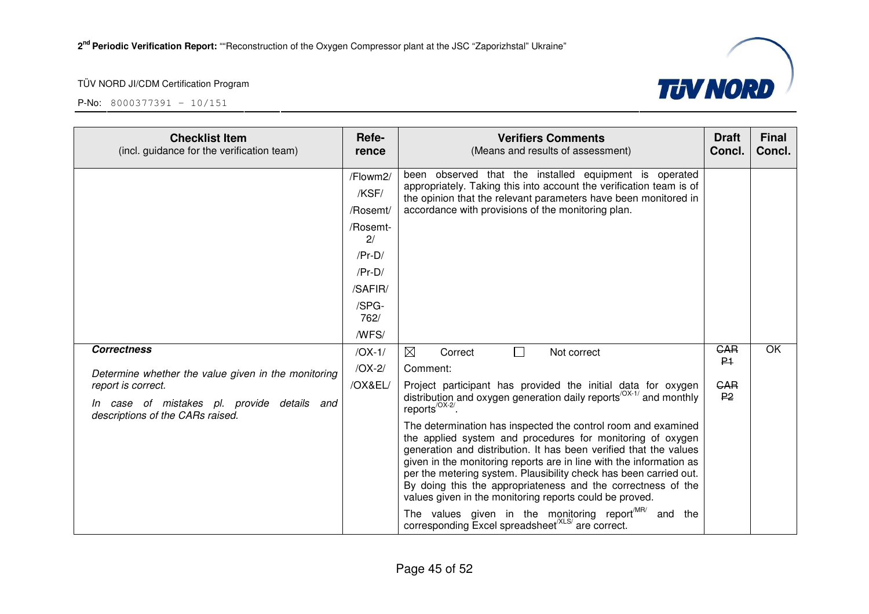



| <b>Checklist Item</b><br>(incl. guidance for the verification team)                                   | Refe-<br>rence                | <b>Verifiers Comments</b><br>(Means and results of assessment)                                                                                                                                                                                                                                                                                                                                                                                                          | <b>Draft</b><br>Concl.       | <b>Final</b><br>Concl. |
|-------------------------------------------------------------------------------------------------------|-------------------------------|-------------------------------------------------------------------------------------------------------------------------------------------------------------------------------------------------------------------------------------------------------------------------------------------------------------------------------------------------------------------------------------------------------------------------------------------------------------------------|------------------------------|------------------------|
|                                                                                                       | /Flowm2/<br>/KSF/<br>/Rosemt/ | been observed that the installed equipment is operated<br>appropriately. Taking this into account the verification team is of<br>the opinion that the relevant parameters have been monitored in<br>accordance with provisions of the monitoring plan.                                                                                                                                                                                                                  |                              |                        |
|                                                                                                       | /Rosemt-<br>2/                |                                                                                                                                                                                                                                                                                                                                                                                                                                                                         |                              |                        |
|                                                                                                       | $/Pr-D/$                      |                                                                                                                                                                                                                                                                                                                                                                                                                                                                         |                              |                        |
|                                                                                                       | $/Pr-D/$                      |                                                                                                                                                                                                                                                                                                                                                                                                                                                                         |                              |                        |
|                                                                                                       | /SAFIR/                       |                                                                                                                                                                                                                                                                                                                                                                                                                                                                         |                              |                        |
|                                                                                                       | /SPG-<br>762/                 |                                                                                                                                                                                                                                                                                                                                                                                                                                                                         |                              |                        |
|                                                                                                       | /WFS/                         |                                                                                                                                                                                                                                                                                                                                                                                                                                                                         |                              |                        |
| <b>Correctness</b>                                                                                    | $/OX-1/$                      | ⊠<br>$\Box$<br>Correct<br>Not correct                                                                                                                                                                                                                                                                                                                                                                                                                                   | <b>GAR</b><br>P <sub>1</sub> | $\overline{OK}$        |
| Determine whether the value given in the monitoring                                                   | $/OX-2/$                      | Comment:                                                                                                                                                                                                                                                                                                                                                                                                                                                                |                              |                        |
| report is correct.<br>In case of mistakes pl. provide details and<br>descriptions of the CARs raised. | /OX&EL/                       | Project participant has provided the initial data for oxygen<br>distribution and oxygen generation daily reports <sup>/OX-1/</sup> and monthly<br>reports <sup>/OX-2/</sup> .                                                                                                                                                                                                                                                                                           | <b>GAR</b><br>P <sub>2</sub> |                        |
|                                                                                                       |                               | The determination has inspected the control room and examined<br>the applied system and procedures for monitoring of oxygen<br>generation and distribution. It has been verified that the values<br>given in the monitoring reports are in line with the information as<br>per the metering system. Plausibility check has been carried out.<br>By doing this the appropriateness and the correctness of the<br>values given in the monitoring reports could be proved. |                              |                        |
|                                                                                                       |                               | The values given in the monitoring report <sup>MR/</sup><br>and the<br>corresponding Excel spreadsheet <sup>(XLS/</sup> are correct.                                                                                                                                                                                                                                                                                                                                    |                              |                        |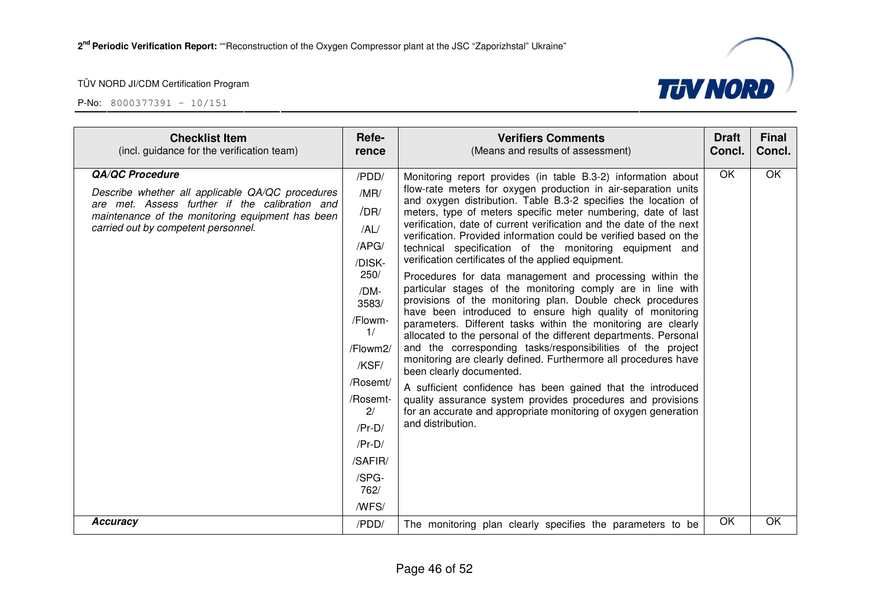

| <b>Checklist Item</b><br>(incl. guidance for the verification team)                                                                                                                                                     | Refe-<br>rence                                                                                                                                                                                             | <b>Verifiers Comments</b><br>(Means and results of assessment)                                                                                                                                                                                                                                                                                                                                                                                                                                                                                                                                                                                                                                                                                                                                                                                                                                                                                                                                                                                                                                                                                                                                                                                                                                                  | <b>Draft</b><br>Concl. | <b>Final</b><br>Concl. |
|-------------------------------------------------------------------------------------------------------------------------------------------------------------------------------------------------------------------------|------------------------------------------------------------------------------------------------------------------------------------------------------------------------------------------------------------|-----------------------------------------------------------------------------------------------------------------------------------------------------------------------------------------------------------------------------------------------------------------------------------------------------------------------------------------------------------------------------------------------------------------------------------------------------------------------------------------------------------------------------------------------------------------------------------------------------------------------------------------------------------------------------------------------------------------------------------------------------------------------------------------------------------------------------------------------------------------------------------------------------------------------------------------------------------------------------------------------------------------------------------------------------------------------------------------------------------------------------------------------------------------------------------------------------------------------------------------------------------------------------------------------------------------|------------------------|------------------------|
| <b>QA/QC Procedure</b><br>Describe whether all applicable QA/QC procedures<br>are met. Assess further if the calibration and<br>maintenance of the monitoring equipment has been<br>carried out by competent personnel. | /PDD/<br>/MR/<br>/DR/<br>/AL/<br>/APG/<br>/DISK-<br>250/<br>/DM-<br>3583/<br>/Flowm-<br>1/<br>/Flowm2/<br>/KSF/<br>/Rosemt/<br>/Rosemt-<br>2/<br>$/Pr-D/$<br>$/Pr-D/$<br>/SAFIR/<br>/SPG-<br>762/<br>/WFS/ | Monitoring report provides (in table B.3-2) information about<br>flow-rate meters for oxygen production in air-separation units<br>and oxygen distribution. Table B.3-2 specifies the location of<br>meters, type of meters specific meter numbering, date of last<br>verification, date of current verification and the date of the next<br>verification. Provided information could be verified based on the<br>technical specification of the monitoring equipment and<br>verification certificates of the applied equipment.<br>Procedures for data management and processing within the<br>particular stages of the monitoring comply are in line with<br>provisions of the monitoring plan. Double check procedures<br>have been introduced to ensure high quality of monitoring<br>parameters. Different tasks within the monitoring are clearly<br>allocated to the personal of the different departments. Personal<br>and the corresponding tasks/responsibilities of the project<br>monitoring are clearly defined. Furthermore all procedures have<br>been clearly documented.<br>A sufficient confidence has been gained that the introduced<br>quality assurance system provides procedures and provisions<br>for an accurate and appropriate monitoring of oxygen generation<br>and distribution. | OK                     | $\overline{OK}$        |
| <b>Accuracy</b>                                                                                                                                                                                                         | /PDD/                                                                                                                                                                                                      | The monitoring plan clearly specifies the parameters to be                                                                                                                                                                                                                                                                                                                                                                                                                                                                                                                                                                                                                                                                                                                                                                                                                                                                                                                                                                                                                                                                                                                                                                                                                                                      | OK                     | OK                     |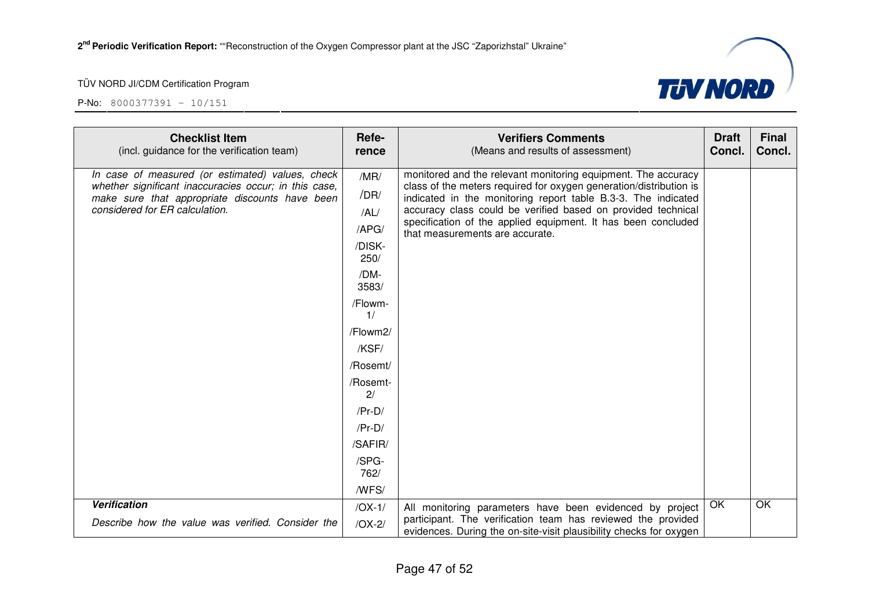

| <b>Checklist Item</b><br>(incl. guidance for the verification team)                                                                                                                           | Refe-<br>rence                                                                                                                                                                                    | <b>Verifiers Comments</b><br>(Means and results of assessment)                                                                                                                                                                                                                                                                                                           | <b>Draft</b><br>Concl. | <b>Final</b><br>Concl. |
|-----------------------------------------------------------------------------------------------------------------------------------------------------------------------------------------------|---------------------------------------------------------------------------------------------------------------------------------------------------------------------------------------------------|--------------------------------------------------------------------------------------------------------------------------------------------------------------------------------------------------------------------------------------------------------------------------------------------------------------------------------------------------------------------------|------------------------|------------------------|
| In case of measured (or estimated) values, check<br>whether significant inaccuracies occur; in this case,<br>make sure that appropriate discounts have been<br>considered for ER calculation. | /MR/<br>/DR/<br>/AL/<br>/APG/<br>/DISK-<br>250/<br>/DM-<br>3583/<br>/Flowm-<br>1/<br>/Flowm2/<br>/KSF/<br>/Rosemt/<br>/Rosemt-<br>2/<br>$/Pr-D/$<br>$/Pr-D/$<br>/SAFIR/<br>/SPG-<br>762/<br>/WFS/ | monitored and the relevant monitoring equipment. The accuracy<br>class of the meters required for oxygen generation/distribution is<br>indicated in the monitoring report table B.3-3. The indicated<br>accuracy class could be verified based on provided technical<br>specification of the applied equipment. It has been concluded<br>that measurements are accurate. |                        |                        |
| <b>Verification</b><br>Describe how the value was verified. Consider the                                                                                                                      | $/OX-1/$                                                                                                                                                                                          | All monitoring parameters have been evidenced by project<br>participant. The verification team has reviewed the provided                                                                                                                                                                                                                                                 | OK                     | <b>OK</b>              |
|                                                                                                                                                                                               | $/OX-2/$                                                                                                                                                                                          | evidences. During the on-site-visit plausibility checks for oxygen                                                                                                                                                                                                                                                                                                       |                        |                        |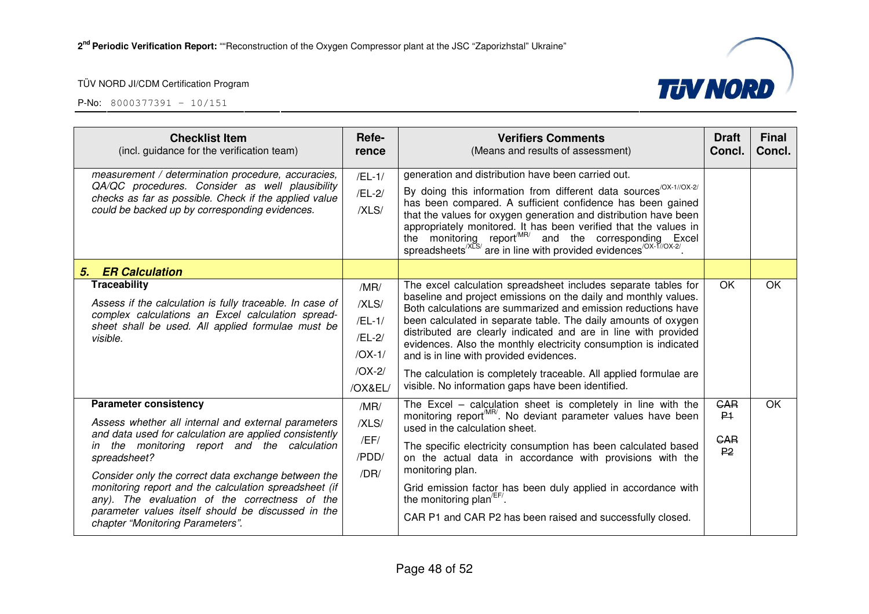

| <b>Checklist Item</b><br>(incl. guidance for the verification team)                                                                                                                                                                                                                                                                                                                                                                                                                    | Refe-<br>rence                                                         | <b>Verifiers Comments</b><br>(Means and results of assessment)                                                                                                                                                                                                                                                                                                                                                                                                                                                                                                                    | <b>Draft</b><br>Concl.                                       | <b>Final</b><br>Concl. |
|----------------------------------------------------------------------------------------------------------------------------------------------------------------------------------------------------------------------------------------------------------------------------------------------------------------------------------------------------------------------------------------------------------------------------------------------------------------------------------------|------------------------------------------------------------------------|-----------------------------------------------------------------------------------------------------------------------------------------------------------------------------------------------------------------------------------------------------------------------------------------------------------------------------------------------------------------------------------------------------------------------------------------------------------------------------------------------------------------------------------------------------------------------------------|--------------------------------------------------------------|------------------------|
| measurement / determination procedure, accuracies,<br>QA/QC procedures. Consider as well plausibility<br>checks as far as possible. Check if the applied value<br>could be backed up by corresponding evidences.                                                                                                                                                                                                                                                                       | $/EL-1/$<br>$/EL-2/$<br>/XLS/                                          | generation and distribution have been carried out.<br>By doing this information from different data sources <sup>/OX-1//OX-2/</sup><br>has been compared. A sufficient confidence has been gained<br>that the values for oxygen generation and distribution have been<br>appropriately monitored. It has been verified that the values in<br>the monitoring report <sup>MR/</sup> and the corresponding Excel<br>spreadsheets <sup>/XLS/</sup> are in line with provided evidences <sup>/OX-T//OX-2/</sup>                                                                        |                                                              |                        |
| <b>ER Calculation</b><br>5.                                                                                                                                                                                                                                                                                                                                                                                                                                                            |                                                                        |                                                                                                                                                                                                                                                                                                                                                                                                                                                                                                                                                                                   |                                                              |                        |
| <b>Traceability</b><br>Assess if the calculation is fully traceable. In case of<br>complex calculations an Excel calculation spread-<br>sheet shall be used. All applied formulae must be<br>visible.                                                                                                                                                                                                                                                                                  | /MR/<br>/XLS/<br>$/EL-1/$<br>/EL-2/<br>$/OX-1/$<br>$/OX-2/$<br>/OX&EL/ | The excel calculation spreadsheet includes separate tables for<br>baseline and project emissions on the daily and monthly values.<br>Both calculations are summarized and emission reductions have<br>been calculated in separate table. The daily amounts of oxygen<br>distributed are clearly indicated and are in line with provided<br>evidences. Also the monthly electricity consumption is indicated<br>and is in line with provided evidences.<br>The calculation is completely traceable. All applied formulae are<br>visible. No information gaps have been identified. | <b>OK</b>                                                    | OK                     |
| <b>Parameter consistency</b><br>Assess whether all internal and external parameters<br>and data used for calculation are applied consistently<br>the monitoring report and the calculation<br>$\mathsf{I}$<br>spreadsheet?<br>Consider only the correct data exchange between the<br>monitoring report and the calculation spreadsheet (if<br>any). The evaluation of the correctness of the<br>parameter values itself should be discussed in the<br>chapter "Monitoring Parameters". | /MR/<br>/XLS/<br>/EF/<br>/PDD/<br>/DR/                                 | The Excel - calculation sheet is completely in line with the<br>monitoring report <sup>MR/</sup> . No deviant parameter values have been<br>used in the calculation sheet.<br>The specific electricity consumption has been calculated based<br>on the actual data in accordance with provisions with the<br>monitoring plan.<br>Grid emission factor has been duly applied in accordance with<br>the monitoring plan <sup>/EF/</sup> .<br>CAR P1 and CAR P2 has been raised and successfully closed.                                                                             | <b>GAR</b><br>P <sub>1</sub><br><b>GAR</b><br>P <sub>2</sub> | OK                     |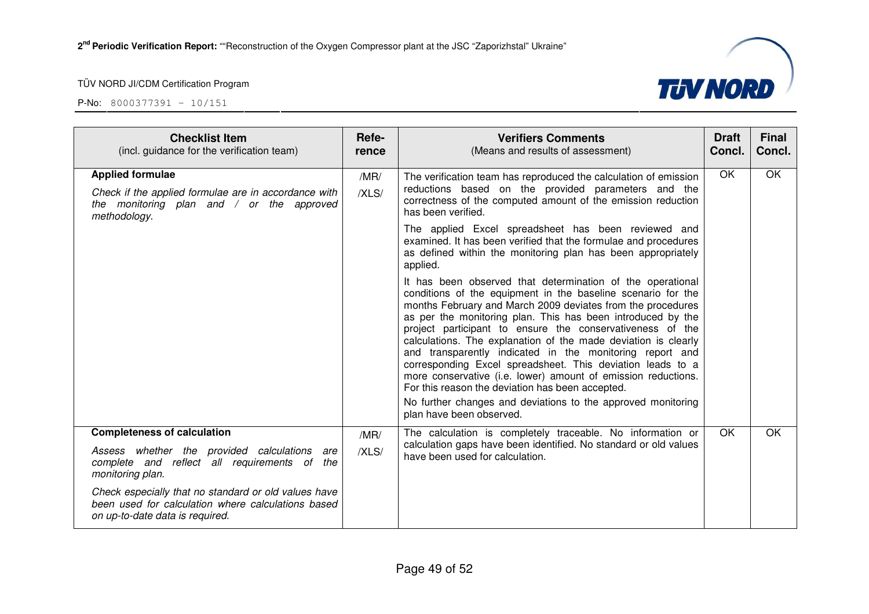

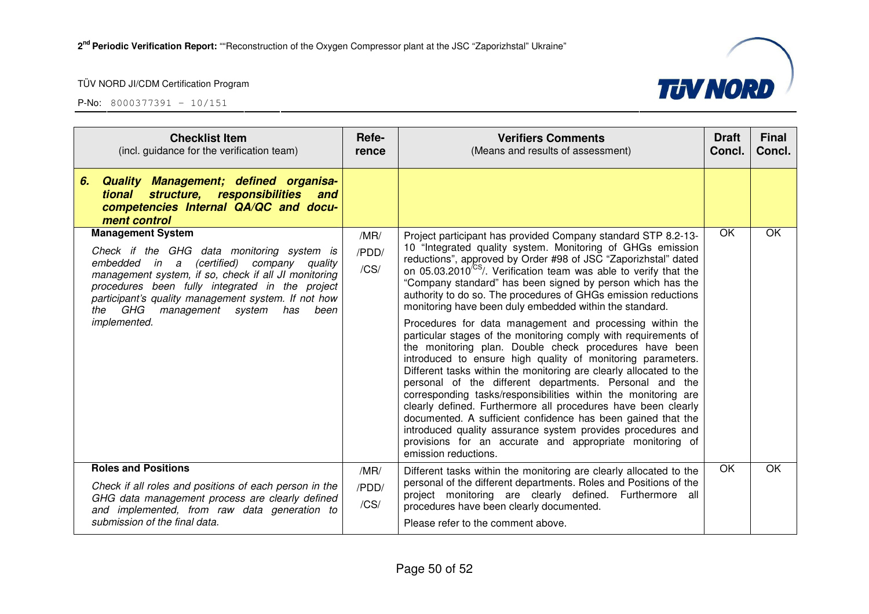



| <b>Checklist Item</b><br>(incl. guidance for the verification team)                                                                                                                                                                                                                                                                                  | Refe-<br>rence        | <b>Verifiers Comments</b><br>(Means and results of assessment)                                                                                                                                                                                                                                                                                                                                                                                                                                                                                                                                                                                                                                                                                                                                                                                                                                                                                                                                                                                                                                                                                                                                                           | <b>Draft</b><br>Concl. | <b>Final</b><br>Concl. |
|------------------------------------------------------------------------------------------------------------------------------------------------------------------------------------------------------------------------------------------------------------------------------------------------------------------------------------------------------|-----------------------|--------------------------------------------------------------------------------------------------------------------------------------------------------------------------------------------------------------------------------------------------------------------------------------------------------------------------------------------------------------------------------------------------------------------------------------------------------------------------------------------------------------------------------------------------------------------------------------------------------------------------------------------------------------------------------------------------------------------------------------------------------------------------------------------------------------------------------------------------------------------------------------------------------------------------------------------------------------------------------------------------------------------------------------------------------------------------------------------------------------------------------------------------------------------------------------------------------------------------|------------------------|------------------------|
| Quality Management; defined organisa-<br>6.<br>structure, responsibilities<br>tional<br>and<br>competencies Internal QA/QC and docu-<br>ment control                                                                                                                                                                                                 |                       |                                                                                                                                                                                                                                                                                                                                                                                                                                                                                                                                                                                                                                                                                                                                                                                                                                                                                                                                                                                                                                                                                                                                                                                                                          |                        |                        |
| <b>Management System</b><br>Check if the GHG data monitoring system is<br>(certified) company quality<br>embedded in a<br>management system, if so, check if all JI monitoring<br>procedures been fully integrated in the project<br>participant's quality management system. If not how<br>the GHG management system<br>has<br>been<br>implemented. | /MR/<br>/PDD/<br>/CS/ | Project participant has provided Company standard STP 8.2-13-<br>10 "Integrated quality system. Monitoring of GHGs emission<br>reductions", approved by Order #98 of JSC "Zaporizhstal" dated<br>on 05.03.2010 <sup>/CS</sup> /. Verification team was able to verify that the<br>"Company standard" has been signed by person which has the<br>authority to do so. The procedures of GHGs emission reductions<br>monitoring have been duly embedded within the standard.<br>Procedures for data management and processing within the<br>particular stages of the monitoring comply with requirements of<br>the monitoring plan. Double check procedures have been<br>introduced to ensure high quality of monitoring parameters.<br>Different tasks within the monitoring are clearly allocated to the<br>personal of the different departments. Personal and the<br>corresponding tasks/responsibilities within the monitoring are<br>clearly defined. Furthermore all procedures have been clearly<br>documented. A sufficient confidence has been gained that the<br>introduced quality assurance system provides procedures and<br>provisions for an accurate and appropriate monitoring of<br>emission reductions. | OK                     | OK                     |
| <b>Roles and Positions</b><br>Check if all roles and positions of each person in the<br>GHG data management process are clearly defined<br>and implemented, from raw data generation to<br>submission of the final data.                                                                                                                             | /MR/<br>/PDD/<br>/CS/ | Different tasks within the monitoring are clearly allocated to the<br>personal of the different departments. Roles and Positions of the<br>project monitoring are clearly defined. Furthermore all<br>procedures have been clearly documented.<br>Please refer to the comment above.                                                                                                                                                                                                                                                                                                                                                                                                                                                                                                                                                                                                                                                                                                                                                                                                                                                                                                                                     | <b>OK</b>              | OK                     |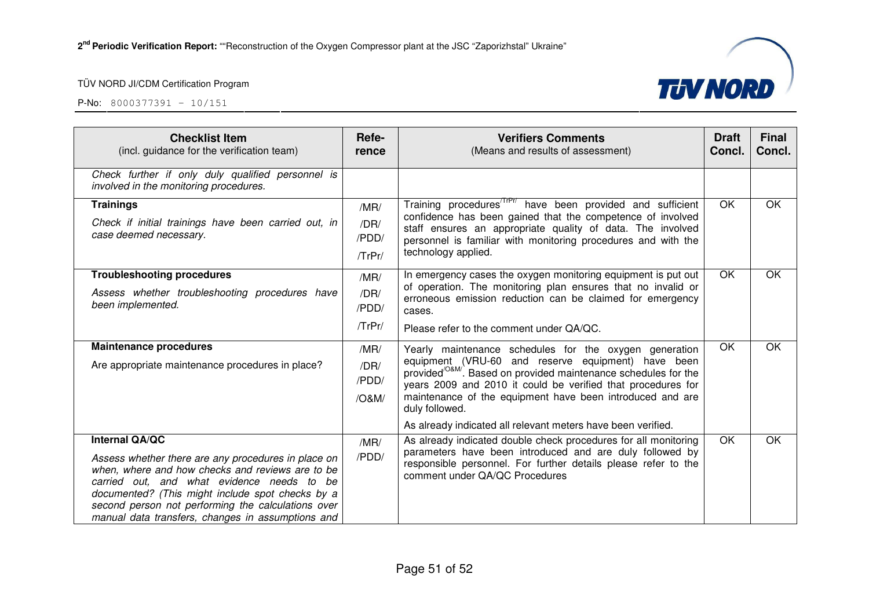

| <b>Checklist Item</b><br>(incl. guidance for the verification team)                                                                                                                                                                                                                                                                           | Refe-<br>rence                       | <b>Verifiers Comments</b><br>(Means and results of assessment)                                                                                                                                                                                                                                                                                                                                                 | <b>Draft</b><br>Concl. | <b>Final</b><br>Concl. |
|-----------------------------------------------------------------------------------------------------------------------------------------------------------------------------------------------------------------------------------------------------------------------------------------------------------------------------------------------|--------------------------------------|----------------------------------------------------------------------------------------------------------------------------------------------------------------------------------------------------------------------------------------------------------------------------------------------------------------------------------------------------------------------------------------------------------------|------------------------|------------------------|
| Check further if only duly qualified personnel is<br>involved in the monitoring procedures.                                                                                                                                                                                                                                                   |                                      |                                                                                                                                                                                                                                                                                                                                                                                                                |                        |                        |
| <b>Trainings</b><br>Check if initial trainings have been carried out, in<br>case deemed necessary.                                                                                                                                                                                                                                            | /MR/<br>/DR/<br>/PDD/<br>$T$ r $Pr/$ | Training procedures <sup>/TrPr/</sup> have been provided and sufficient<br>confidence has been gained that the competence of involved<br>staff ensures an appropriate quality of data. The involved<br>personnel is familiar with monitoring procedures and with the<br>technology applied.                                                                                                                    | <b>OK</b>              | OK                     |
| <b>Troubleshooting procedures</b><br>Assess whether troubleshooting procedures have<br>been implemented.                                                                                                                                                                                                                                      | /MR/<br>/DR/<br>/PDD/<br>$T$ r $Pr/$ | In emergency cases the oxygen monitoring equipment is put out<br>of operation. The monitoring plan ensures that no invalid or<br>erroneous emission reduction can be claimed for emergency<br>cases.<br>Please refer to the comment under QA/QC.                                                                                                                                                               | OK                     | OK                     |
| <b>Maintenance procedures</b><br>Are appropriate maintenance procedures in place?                                                                                                                                                                                                                                                             | /MR/<br>/DR/<br>/PDD/<br>/O&M/       | Yearly maintenance schedules for the oxygen generation<br>equipment (VRU-60 and reserve equipment) have been<br>provided <sup>/O&amp;M/</sup> . Based on provided maintenance schedules for the<br>years 2009 and 2010 it could be verified that procedures for<br>maintenance of the equipment have been introduced and are<br>duly followed.<br>As already indicated all relevant meters have been verified. | OK                     | OK                     |
| <b>Internal QA/QC</b><br>Assess whether there are any procedures in place on<br>when, where and how checks and reviews are to be<br>carried out, and what evidence needs to be<br>documented? (This might include spot checks by a<br>second person not performing the calculations over<br>manual data transfers, changes in assumptions and | /MR/<br>/PDD/                        | As already indicated double check procedures for all monitoring<br>parameters have been introduced and are duly followed by<br>responsible personnel. For further details please refer to the<br>comment under QA/QC Procedures                                                                                                                                                                                | $\overline{OK}$        | OK                     |